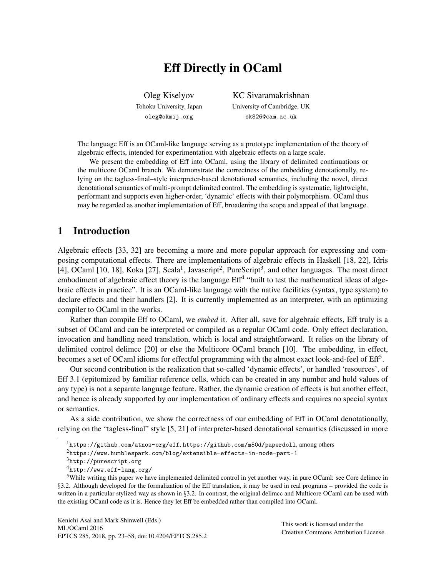# Eff Directly in OCaml

Oleg Kiselyov Tohoku University, Japan oleg@okmij.org

KC Sivaramakrishnan University of Cambridge, UK sk826@cam.ac.uk

The language Eff is an OCaml-like language serving as a prototype implementation of the theory of algebraic effects, intended for experimentation with algebraic effects on a large scale.

We present the embedding of Eff into OCaml, using the library of delimited continuations or the multicore OCaml branch. We demonstrate the correctness of the embedding denotationally, relying on the tagless-final–style interpreter-based denotational semantics, including the novel, direct denotational semantics of multi-prompt delimited control. The embedding is systematic, lightweight, performant and supports even higher-order, 'dynamic' effects with their polymorphism. OCaml thus may be regarded as another implementation of Eff, broadening the scope and appeal of that language.

## 1 Introduction

Algebraic effects [33, 32] are becoming a more and more popular approach for expressing and composing computational effects. There are implementations of algebraic effects in Haskell [18, 22], Idris [4], OCaml [10, 18], Koka [27], Scala<sup>1</sup>, Javascript<sup>2</sup>, PureScript<sup>3</sup>, and other languages. The most direct embodiment of algebraic effect theory is the language Eff<sup>4</sup> "built to test the mathematical ideas of algebraic effects in practice". It is an OCaml-like language with the native facilities (syntax, type system) to declare effects and their handlers [2]. It is currently implemented as an interpreter, with an optimizing compiler to OCaml in the works.

Rather than compile Eff to OCaml, we *embed* it. After all, save for algebraic effects, Eff truly is a subset of OCaml and can be interpreted or compiled as a regular OCaml code. Only effect declaration, invocation and handling need translation, which is local and straightforward. It relies on the library of delimited control delimcc [20] or else the Multicore OCaml branch [10]. The embedding, in effect, becomes a set of OCaml idioms for effectful programming with the almost exact look-and-feel of Eff<sup>5</sup>.

Our second contribution is the realization that so-called 'dynamic effects', or handled 'resources', of Eff 3.1 (epitomized by familiar reference cells, which can be created in any number and hold values of any type) is not a separate language feature. Rather, the dynamic creation of effects is but another effect, and hence is already supported by our implementation of ordinary effects and requires no special syntax or semantics.

As a side contribution, we show the correctness of our embedding of Eff in OCaml denotationally, relying on the "tagless-final" style [5, 21] of interpreter-based denotational semantics (discussed in more

This work is licensed under the Creative Commons Attribution License.

<sup>1</sup>https://github.com/atnos-org/eff, https://github.com/m50d/paperdoll, among others

<sup>2</sup>https://www.humblespark.com/blog/extensible-effects-in-node-part-1

<sup>3</sup>http://purescript.org

<sup>4</sup>http://www.eff-lang.org/

<sup>5</sup>While writing this paper we have implemented delimited control in yet another way, in pure OCaml: see Core delimcc in §3.2. Although developed for the formalization of the Eff translation, it may be used in real programs – provided the code is written in a particular stylized way as shown in §3.2. In contrast, the original delimcc and Multicore OCaml can be used with the existing OCaml code as it is. Hence they let Eff be embedded rather than compiled into OCaml.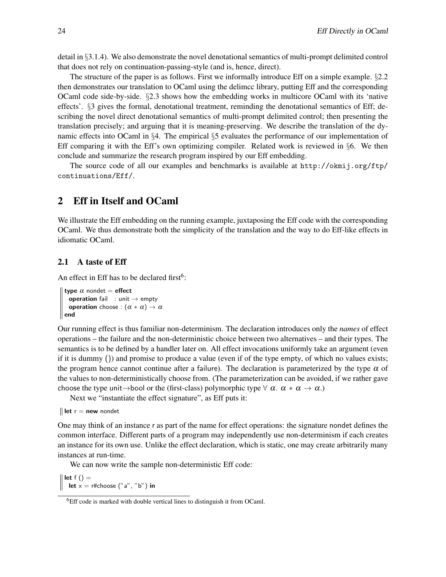detail in §3.1.4). We also demonstrate the novel denotational semantics of multi-prompt delimited control that does not rely on continuation-passing-style (and is, hence, direct).

The structure of the paper is as follows. First we informally introduce Eff on a simple example. §2.2 then demonstrates our translation to OCaml using the delimcc library, putting Eff and the corresponding OCaml code side-by-side. §2.3 shows how the embedding works in multicore OCaml with its 'native effects'. §3 gives the formal, denotational treatment, reminding the denotational semantics of Eff; describing the novel direct denotational semantics of multi-prompt delimited control; then presenting the translation precisely; and arguing that it is meaning-preserving. We describe the translation of the dynamic effects into OCaml in §4. The empirical §5 evaluates the performance of our implementation of Eff comparing it with the Eff's own optimizing compiler. Related work is reviewed in  $\S6$ . We then conclude and summarize the research program inspired by our Eff embedding.

The source code of all our examples and benchmarks is available at http://okmij.org/ftp/ continuations/Eff/.

## 2 Eff in Itself and OCaml

We illustrate the Eff embedding on the running example, juxtaposing the Eff code with the corresponding OCaml. We thus demonstrate both the simplicity of the translation and the way to do Eff-like effects in idiomatic OCaml.

## 2.1 A taste of Eff

An effect in Eff has to be declared first<sup>6</sup>:

type  $\alpha$  nondet = effect operation fail : unit  $\rightarrow$  empty **operation** choose :  $(\alpha * \alpha) \rightarrow \alpha$  $\parallel$  end

Our running effect is thus familiar non-determinism. The declaration introduces only the *names* of effect operations – the failure and the non-deterministic choice between two alternatives – and their types. The semantics is to be defined by a handler later on. All effect invocations uniformly take an argument (even if it is dummy ()) and promise to produce a value (even if of the type empty, of which no values exists; the program hence cannot continue after a failure). The declaration is parameterized by the type  $\alpha$  of the values to non-deterministically choose from. (The parameterization can be avoided, if we rather gave choose the type unit→bool or the (first-class) polymorphic type  $\forall \alpha$ .  $\alpha * \alpha \rightarrow \alpha$ .)

Next we "instantiate the effect signature", as Eff puts it:

 $\parallel$  let r = new nondet

One may think of an instance r as part of the name for effect operations: the signature nondet defines the common interface. Different parts of a program may independently use non-determinism if each creates an instance for its own use. Unlike the effect declaration, which is static, one may create arbitrarily many instances at run-time.

We can now write the sample non-deterministic Eff code:

 $\parallel$  let f () = let  $x = r#$ choose  $("a", "b")$  in

<sup>&</sup>lt;sup>6</sup>Eff code is marked with double vertical lines to distinguish it from OCaml.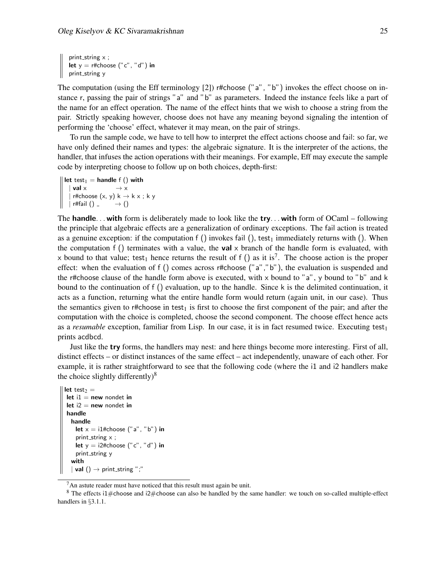print\_string  $x$  ; let  $y = r#$ choose ("c", "d") in print\_string y

The computation (using the Eff terminology [2]) r#choose ("a", "b") invokes the effect choose on instance r, passing the pair of strings "a" and "b" as parameters. Indeed the instance feels like a part of the name for an effect operation. The name of the effect hints that we wish to choose a string from the pair. Strictly speaking however, choose does not have any meaning beyond signaling the intention of performing the 'choose' effect, whatever it may mean, on the pair of strings.

To run the sample code, we have to tell how to interpret the effect actions choose and fail: so far, we have only defined their names and types: the algebraic signature. It is the interpreter of the actions, the handler, that infuses the action operations with their meanings. For example, Eff may execute the sample code by interpreting choose to follow up on both choices, depth-first:

```
\parallel let test<sub>1</sub> = handle f () with
     val \times \rightarrow \timesr#choose (x, y) k \rightarrow k x ; k y
   | r#fail () \rightarrow ()
```
The handle... with form is deliberately made to look like the try... with form of OCaml – following the principle that algebraic effects are a generalization of ordinary exceptions. The fail action is treated as a genuine exception: if the computation f () invokes fail (), test<sub>1</sub> immediately returns with (). When the computation f () terminates with a value, the **val**  $\times$  branch of the handle form is evaluated, with x bound to that value; test<sub>1</sub> hence returns the result of f () as it is<sup>7</sup>. The choose action is the proper effect: when the evaluation of f () comes across r#choose ("a","b"), the evaluation is suspended and the r#choose clause of the handle form above is executed, with  $\times$  bound to "a",  $\gamma$  bound to "b" and k bound to the continuation of f () evaluation, up to the handle. Since k is the delimited continuation, it acts as a function, returning what the entire handle form would return (again unit, in our case). Thus the semantics given to r#choose in test<sub>1</sub> is first to choose the first component of the pair; and after the computation with the choice is completed, choose the second component. The choose effect hence acts as a *resumable* exception, familiar from Lisp. In our case, it is in fact resumed twice. Executing test<sub>1</sub> prints acdbcd.

Just like the try forms, the handlers may nest: and here things become more interesting. First of all, distinct effects – or distinct instances of the same effect – act independently, unaware of each other. For example, it is rather straightforward to see that the following code (where the i1 and i2 handlers make the choice slightly differently) $8$ 

```
let test2 =let i1 = new nondet in
let i2 = new nondet in
handle
  handle
    let x = i1#choose ("a", "b") in
    print_string \times ;
    let y = i2#choose ("c", "d") in
    print_string y
  with
  | val () \rightarrow print_string ";"
```
 $7An$  astute reader must have noticed that this result must again be unit.

<sup>&</sup>lt;sup>8</sup> The effects i1 $\#$ choose and i2 $\#$ choose can also be handled by the same handler: we touch on so-called multiple-effect handlers in §3.1.1.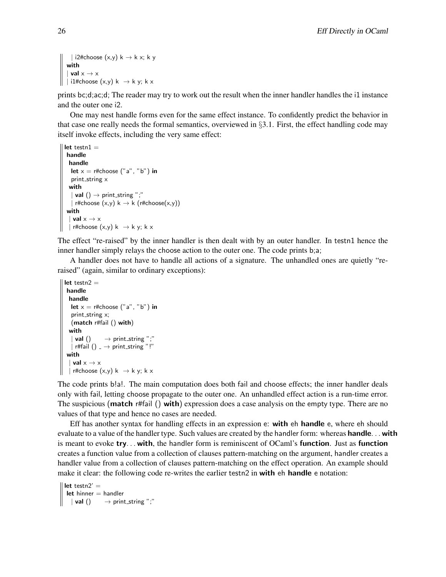```
| i2#choose (x,y) k \rightarrow k x; k y
with
  val x \rightarrow x| i1#choose (x,y) k \rightarrow k y; k x
```
prints bc;d;ac;d; The reader may try to work out the result when the inner handler handles the i1 instance and the outer one i2.

One may nest handle forms even for the same effect instance. To confidently predict the behavior in that case one really needs the formal semantics, overviewed in §3.1. First, the effect handling code may itself invoke effects, including the very same effect:

```
let testn1 =handle
 handle
  let x = r#choose ("a", "b") in
  print_string x
 with
    val () \rightarrow print_string ";"
  | r#choose (x,y) k \rightarrow k (r#choose(x,y))
with
   val x \rightarrow x| r#choose (x,y) k \rightarrow k y; k x
```
The effect "re-raised" by the inner handler is then dealt with by an outer handler. In testn1 hence the inner handler simply relays the choose action to the outer one. The code prints b;a;

A handler does not have to handle all actions of a signature. The unhandled ones are quietly "reraised" (again, similar to ordinary exceptions):

```
let testn2 =handle
 handle
  let x = r#choose ("a", "b") in
   print_string x;
   (match r#fail () with)
  with
    val () \longrightarrow print_string ";"
    r#fail () \rightarrow print_string "!"
with
  | val x \rightarrow x| r#choose (x,y) k \rightarrow k y; k x
```
The code prints b!a!. The main computation does both fail and choose effects; the inner handler deals only with fail, letting choose propagate to the outer one. An unhandled effect action is a run-time error. The suspicious (**match** r#fail () **with**) expression does a case analysis on the empty type. There are no values of that type and hence no cases are needed.

Eff has another syntax for handling effects in an expression e: with eh handle e, where eh should evaluate to a value of the handler type. Such values are created by the handler form: whereas handle... with is meant to evoke try. . . with, the handler form is reminiscent of OCaml's function. Just as function creates a function value from a collection of clauses pattern-matching on the argument, handler creates a handler value from a collection of clauses pattern-matching on the effect operation. An example should make it clear: the following code re-writes the earlier testn2 in with eh handle e notation:

```
\parallel let testn2' =
  let hinner = handler
   \vert val () \rightarrow print_string ";"
```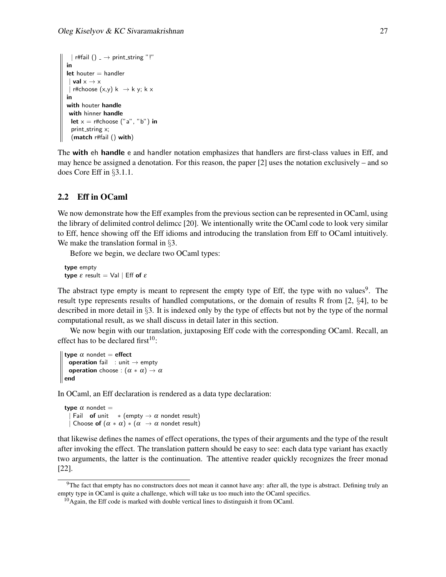```
| r#fail () \rightarrow print_string "!"
in
let houter = handler
| val x \rightarrow x| r#choose (x,y) k \rightarrow k y; k x
in
with houter handle
 with hinner handle
 let x = r#choose ("a", "b") in
  print_string x;
  (match r#fail () with)
```
The with eh handle e and handler notation emphasizes that handlers are first-class values in Eff, and may hence be assigned a denotation. For this reason, the paper [2] uses the notation exclusively – and so does Core Eff in §3.1.1.

### 2.2 Eff in OCaml

We now demonstrate how the Eff examples from the previous section can be represented in OCaml, using the library of delimited control delimcc [20]. We intentionally write the OCaml code to look very similar to Eff, hence showing off the Eff idioms and introducing the translation from Eff to OCaml intuitively. We make the translation formal in §3.

Before we begin, we declare two OCaml types:

type empty type  $\varepsilon$  result = Val | Eff of  $\varepsilon$ 

The abstract type empty is meant to represent the empty type of Eff, the type with no values<sup>9</sup>. The result type represents results of handled computations, or the domain of results R from [2, §4], to be described in more detail in §3. It is indexed only by the type of effects but not by the type of the normal computational result, as we shall discuss in detail later in this section.

We now begin with our translation, juxtaposing Eff code with the corresponding OCaml. Recall, an effect has to be declared first $10$ :

```
type \alpha nondet = effect
   operation fail : unit \rightarrow empty
   operation choose : (\alpha * \alpha) \rightarrow \alpha\parallel end
```
In OCaml, an Eff declaration is rendered as a data type declaration:

type  $\alpha$  nondet = Fail of unit  $*(empty \rightarrow \alpha$  nondet result) | Choose of  $(\alpha * \alpha) * (\alpha \rightarrow \alpha$  nondet result)

that likewise defines the names of effect operations, the types of their arguments and the type of the result after invoking the effect. The translation pattern should be easy to see: each data type variant has exactly two arguments, the latter is the continuation. The attentive reader quickly recognizes the freer monad [22].

 $9$ The fact that empty has no constructors does not mean it cannot have any: after all, the type is abstract. Defining truly an empty type in OCaml is quite a challenge, which will take us too much into the OCaml specifics.

 $10$ Again, the Eff code is marked with double vertical lines to distinguish it from OCaml.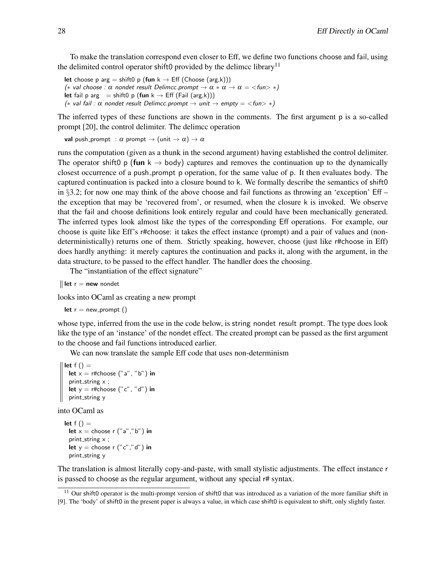To make the translation correspond even closer to Eff, we define two functions choose and fail, using the delimited control operator shift0 provided by the delimcc library<sup>11</sup>

let choose p arg = shift0 p (fun  $k \rightarrow$  Eff (Choose (arg,k))) (\* val choose :  $\alpha$  nondet result Delimcc.prompt  $\rightarrow \alpha * \alpha \rightarrow \alpha =$  <fun> \*) let fail p arg = shift0 p (fun  $k \rightarrow$  Eff (Fail (arg,k))) (\* val fail :  $\alpha$  nondet result Delimcc.prompt  $\rightarrow$  unit  $\rightarrow$  empty = <fun> \*)

The inferred types of these functions are shown in the comments. The first argument p is a so-called prompt [20], the control delimiter. The delimcc operation

val push prompt :  $\alpha$  prompt  $\rightarrow$  (unit  $\rightarrow \alpha$ )  $\rightarrow \alpha$ 

runs the computation (given as a thunk in the second argument) having established the control delimiter. The operator shift0 p (fun  $k \rightarrow$  body) captures and removes the continuation up to the dynamically closest occurrence of a push prompt p operation, for the same value of p. It then evaluates body. The captured continuation is packed into a closure bound to k. We formally describe the semantics of shift0 in §3.2; for now one may think of the above choose and fail functions as throwing an 'exception' Eff – the exception that may be 'recovered from', or resumed, when the closure k is invoked. We observe that the fail and choose definitions look entirely regular and could have been mechanically generated. The inferred types look almost like the types of the corresponding Eff operations. For example, our choose is quite like Eff's r#choose: it takes the effect instance (prompt) and a pair of values and (nondeterministically) returns one of them. Strictly speaking, however, choose (just like r#choose in Eff) does hardly anything: it merely captures the continuation and packs it, along with the argument, in the data structure, to be passed to the effect handler. The handler does the choosing.

The "instantiation of the effect signature"

 $\parallel$  let  $r =$  new nondet

looks into OCaml as creating a new prompt

let  $r = new\_prompt$  ()

whose type, inferred from the use in the code below, is string nondet result prompt. The type does look like the type of an 'instance' of the nondet effect. The created prompt can be passed as the first argument to the choose and fail functions introduced earlier.

We can now translate the sample Eff code that uses non-determinism

```
\parallel let f () =let x = r#choose ("a", "b") in
   print_string x ;
  let y = r#choose ("c", "d") in
  print_string y
```
into OCaml as

```
let f() =let x = choose r ("a","b") in
 print_string x;
 let y = choose r ("c","d") in
 print_string y
```
The translation is almost literally copy-and-paste, with small stylistic adjustments. The effect instance r is passed to choose as the regular argument, without any special r# syntax.

 $11$  Our shift0 operator is the multi-prompt version of shift0 that was introduced as a variation of the more familiar shift in [9]. The 'body' of shift0 in the present paper is always a value, in which case shift0 is equivalent to shift, only slightly faster.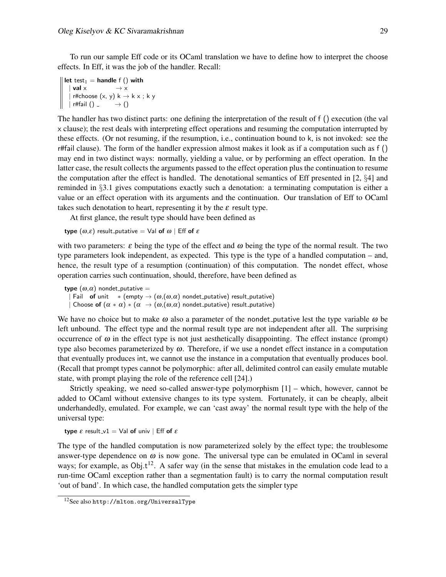To run our sample Eff code or its OCaml translation we have to define how to interpret the choose effects. In Eff, it was the job of the handler. Recall:

```
\parallel let test_1 = handle f () with
    \vert val \times \rightarrow \timesr#choose (x, y) k \rightarrow k x ; k y
   | r#fail () \longrightarrow ()
```
The handler has two distinct parts: one defining the interpretation of the result of f () execution (the val x clause); the rest deals with interpreting effect operations and resuming the computation interrupted by these effects. (Or not resuming, if the resumption, i.e., continuation bound to k, is not invoked: see the r#fail clause). The form of the handler expression almost makes it look as if a computation such as f () may end in two distinct ways: normally, yielding a value, or by performing an effect operation. In the latter case, the result collects the arguments passed to the effect operation plus the continuation to resume the computation after the effect is handled. The denotational semantics of Eff presented in [2, §4] and reminded in §3.1 gives computations exactly such a denotation: a terminating computation is either a value or an effect operation with its arguments and the continuation. Our translation of Eff to OCaml takes such denotation to heart, representing it by the  $\varepsilon$  result type.

At first glance, the result type should have been defined as

type  $(\omega, \varepsilon)$  result\_putative = Val of  $\omega$  | Eff of  $\varepsilon$ 

with two parameters:  $\varepsilon$  being the type of the effect and  $\omega$  being the type of the normal result. The two type parameters look independent, as expected. This type is the type of a handled computation – and, hence, the result type of a resumption (continuation) of this computation. The nondet effect, whose operation carries such continuation, should, therefore, have been defined as

type  $(\omega,\alpha)$  nondet\_putative = Fail of unit  $*(\text{empty} \to (\omega, (\omega, \alpha) \text{ nondet}\_putative))$  result\_putative) | Choose  $\mathsf{of} \; (\alpha*\alpha)* (\alpha \; \rightarrow (\omega,(\omega, \alpha)$  nondet\_putative) result\_putative)

We have no choice but to make  $\omega$  also a parameter of the nondet putative lest the type variable  $\omega$  be left unbound. The effect type and the normal result type are not independent after all. The surprising occurrence of  $\omega$  in the effect type is not just aesthetically disappointing. The effect instance (prompt) type also becomes parameterized by  $\omega$ . Therefore, if we use a nondet effect instance in a computation that eventually produces int, we cannot use the instance in a computation that eventually produces bool. (Recall that prompt types cannot be polymorphic: after all, delimited control can easily emulate mutable state, with prompt playing the role of the reference cell [24].)

Strictly speaking, we need so-called answer-type polymorphism [1] – which, however, cannot be added to OCaml without extensive changes to its type system. Fortunately, it can be cheaply, albeit underhandedly, emulated. For example, we can 'cast away' the normal result type with the help of the universal type:

type  $\varepsilon$  result\_v1 = Val of univ | Eff of  $\varepsilon$ 

The type of the handled computation is now parameterized solely by the effect type; the troublesome answer-type dependence on  $\omega$  is now gone. The universal type can be emulated in OCaml in several ways; for example, as  $Obj.t^{12}$ . A safer way (in the sense that mistakes in the emulation code lead to a run-time OCaml exception rather than a segmentation fault) is to carry the normal computation result 'out of band'. In which case, the handled computation gets the simpler type

<sup>12</sup>See also http://mlton.org/UniversalType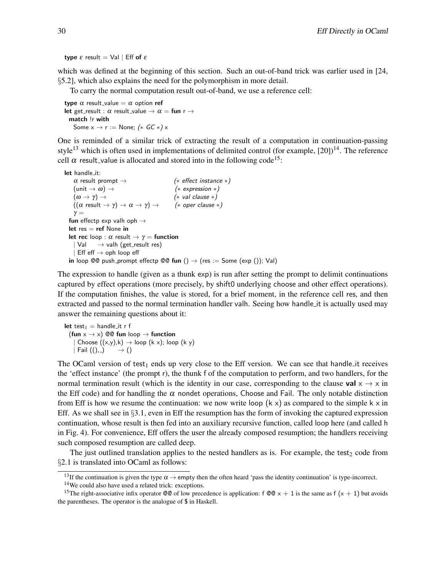type  $ε$  result = Val | Eff of  $ε$ 

which was defined at the beginning of this section. Such an out-of-band trick was earlier used in [24, §5.2], which also explains the need for the polymorphism in more detail.

To carry the normal computation result out-of-band, we use a reference cell:

type  $\alpha$  result\_value =  $\alpha$  option ref let get\_result :  $\alpha$  result\_value  $\rightarrow \alpha =$  fun r  $\rightarrow$ match !r with Some  $x \rightarrow r :=$  None;  $(*$  GC  $*)$  x

One is reminded of a similar trick of extracting the result of a computation in continuation-passing style<sup>13</sup> which is often used in implementations of delimited control (for example,  $[20]$ )<sup>14</sup>. The reference cell  $\alpha$  result value is allocated and stored into in the following code<sup>15</sup>:

```
let handle_it:
   \alpha result prompt \rightarrow (* effect instance *)
   (\text{unit} \rightarrow \omega) \rightarrow (* expression *)
   (\omega \to \gamma) \to (* val clause *)
   ((\alpha \text{ result} \rightarrow \gamma) \rightarrow \alpha \rightarrow \gamma) \rightarrow (* oper clause *)
   \gamma =fun effectp exp valh oph \rightarrowlet res = ref None in
 let rec loop : \alpha result \rightarrow \gamma = function
    | Val \rightarrow valh (get_result res)
     Eff eff \rightarrow oph loop eff
 in loop @@ push_prompt effectp @@ fun () \rightarrow (res := Some (exp ()); Val)
```
The expression to handle (given as a thunk exp) is run after setting the prompt to delimit continuations captured by effect operations (more precisely, by shift0 underlying choose and other effect operations). If the computation finishes, the value is stored, for a brief moment, in the reference cell res, and then extracted and passed to the normal termination handler valh. Seeing how handle it is actually used may answer the remaining questions about it:

```
let test<sub>1</sub> = handle it r f
  (fun x \rightarrow x) @@ fun loop \rightarrow function
      Choose ((x,y),k) \rightarrow loop (k \times); loop (k \times)| Fail ((), ) \rightarrow ()
```
The OCaml version of test<sub>1</sub> ends up very close to the Eff version. We can see that handle it receives the 'effect instance' (the prompt r), the thunk f of the computation to perform, and two handlers, for the normal termination result (which is the identity in our case, corresponding to the clause val  $x \rightarrow x$  in the Eff code) and for handling the  $\alpha$  nondet operations, Choose and Fail. The only notable distinction from Eff is how we resume the continuation: we now write loop  $(k \times)$  as compared to the simple k  $\times$  in Eff. As we shall see in  $\S 3.1$ , even in Eff the resumption has the form of invoking the captured expression continuation, whose result is then fed into an auxiliary recursive function, called loop here (and called h in Fig. 4). For convenience, Eff offers the user the already composed resumption; the handlers receiving such composed resumption are called deep.

The just outlined translation applies to the nested handlers as is. For example, the test<sub>2</sub> code from §2.1 is translated into OCaml as follows:

<sup>&</sup>lt;sup>13</sup>If the continuation is given the type  $\alpha \rightarrow$  empty then the often heard 'pass the identity continuation' is type-incorrect.

<sup>14</sup>We could also have used a related trick: exceptions.

<sup>&</sup>lt;sup>15</sup>The right-associative infix operator  $\mathcal{Q} \mathcal{Q}$  of low precedence is application: f  $\mathcal{Q} \mathcal{Q} \times + 1$  is the same as f  $(x + 1)$  but avoids the parentheses. The operator is the analogue of \$ in Haskell.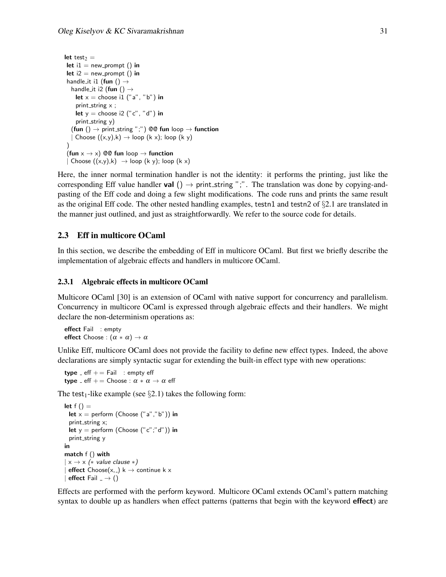```
let test2 =let i1 = new_prompt () in
let i2 = new\_prompt () in
handle_it i1 (fun () \rightarrowhandle_it i2 (fun () \rightarrowlet x = choose i1 ("a", "b") in
    print_string x;
    let y = choose i2 ("c", "d") in
    print_string y)
   (fun () \rightarrow print_string ";") @@ fun loop \rightarrow function
  | Choose ((x,y),k) \rightarrow loop (k x); loop (k y))
 (fun x \rightarrow x) @@ fun loop \rightarrow function
 | Choose ((x,y),k) \rightarrow loop (k \ y); loop (k \ x)
```
Here, the inner normal termination handler is not the identity: it performs the printing, just like the corresponding Eff value handler val  $() \rightarrow$  print\_string ";". The translation was done by copying-andpasting of the Eff code and doing a few slight modifications. The code runs and prints the same result as the original Eff code. The other nested handling examples, testn1 and testn2 of  $\S2.1$  are translated in the manner just outlined, and just as straightforwardly. We refer to the source code for details.

### 2.3 Eff in multicore OCaml

In this section, we describe the embedding of Eff in multicore OCaml. But first we briefly describe the implementation of algebraic effects and handlers in multicore OCaml.

#### 2.3.1 Algebraic effects in multicore OCaml

Multicore OCaml [30] is an extension of OCaml with native support for concurrency and parallelism. Concurrency in multicore OCaml is expressed through algebraic effects and their handlers. We might declare the non-determinism operations as:

effect Fail : empty effect Choose :  $(\alpha * \alpha) \rightarrow \alpha$ 

Unlike Eff, multicore OCaml does not provide the facility to define new effect types. Indeed, the above declarations are simply syntactic sugar for extending the built-in effect type with new operations:

type  $E$  eff  $E = F$ ail : empty eff type  $_{-}$  eff  $_{+}$  = Choose :  $\alpha \ast \alpha \rightarrow \alpha$  eff

The test<sub>1</sub>-like example (see  $\S 2.1$ ) takes the following form:

```
let f() =let x = perform (Choose ("a","b")) in
 print_string x;
 let y = perform (Choose ("c";"d")) in
 print_string y
in
match f () with
 x \rightarrow x (* value clause *)
 effect Choose(x, ) k \rightarrow continue k x
| effect Fail \rightarrow ()
```
Effects are performed with the perform keyword. Multicore OCaml extends OCaml's pattern matching syntax to double up as handlers when effect patterns (patterns that begin with the keyword **effect**) are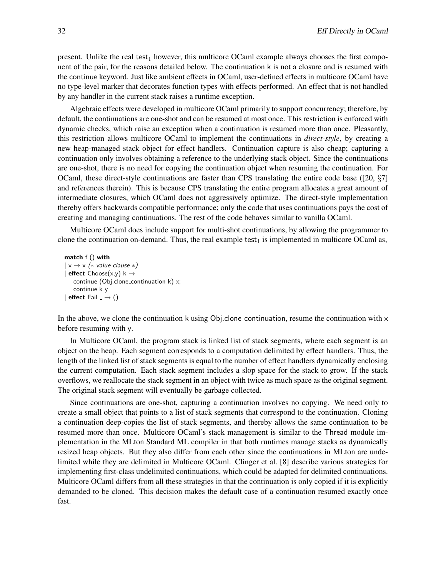present. Unlike the real test<sub>1</sub> however, this multicore OCaml example always chooses the first component of the pair, for the reasons detailed below. The continuation k is not a closure and is resumed with the continue keyword. Just like ambient effects in OCaml, user-defined effects in multicore OCaml have no type-level marker that decorates function types with effects performed. An effect that is not handled by any handler in the current stack raises a runtime exception.

Algebraic effects were developed in multicore OCaml primarily to support concurrency; therefore, by default, the continuations are one-shot and can be resumed at most once. This restriction is enforced with dynamic checks, which raise an exception when a continuation is resumed more than once. Pleasantly, this restriction allows multicore OCaml to implement the continuations in *direct-style*, by creating a new heap-managed stack object for effect handlers. Continuation capture is also cheap; capturing a continuation only involves obtaining a reference to the underlying stack object. Since the continuations are one-shot, there is no need for copying the continuation object when resuming the continuation. For OCaml, these direct-style continuations are faster than CPS translating the entire code base ([20,  $\S7$ ] and references therein). This is because CPS translating the entire program allocates a great amount of intermediate closures, which OCaml does not aggressively optimize. The direct-style implementation thereby offers backwards compatible performance; only the code that uses continuations pays the cost of creating and managing continuations. The rest of the code behaves similar to vanilla OCaml.

Multicore OCaml does include support for multi-shot continuations, by allowing the programmer to clone the continuation on-demand. Thus, the real example test<sub>1</sub> is implemented in multicore OCaml as,

```
match f () with
 x \rightarrow x (* value clause *)
| effect Choose(x,y) k \rightarrowcontinue (Obj.clone_continuation k) x;
   continue k y
| effect Fail = \rightarrow ()
```
In the above, we clone the continuation k using Obj.clone continuation, resume the continuation with  $x$ before resuming with y.

In Multicore OCaml, the program stack is linked list of stack segments, where each segment is an object on the heap. Each segment corresponds to a computation delimited by effect handlers. Thus, the length of the linked list of stack segments is equal to the number of effect handlers dynamically enclosing the current computation. Each stack segment includes a slop space for the stack to grow. If the stack overflows, we reallocate the stack segment in an object with twice as much space as the original segment. The original stack segment will eventually be garbage collected.

Since continuations are one-shot, capturing a continuation involves no copying. We need only to create a small object that points to a list of stack segments that correspond to the continuation. Cloning a continuation deep-copies the list of stack segments, and thereby allows the same continuation to be resumed more than once. Multicore OCaml's stack management is similar to the Thread module implementation in the MLton Standard ML compiler in that both runtimes manage stacks as dynamically resized heap objects. But they also differ from each other since the continuations in MLton are undelimited while they are delimited in Multicore OCaml. Clinger et al. [8] describe various strategies for implementing first-class undelimited continuations, which could be adapted for delimited continuations. Multicore OCaml differs from all these strategies in that the continuation is only copied if it is explicitly demanded to be cloned. This decision makes the default case of a continuation resumed exactly once fast.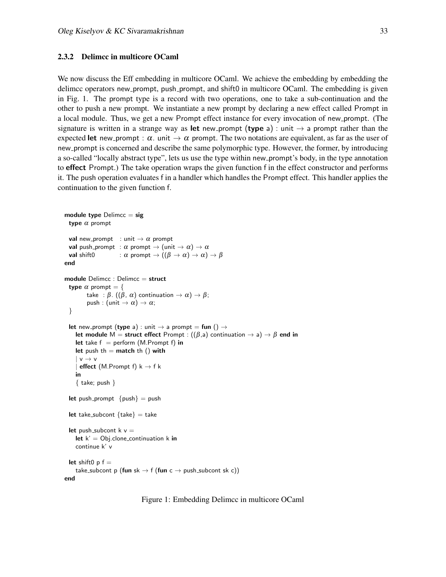#### 2.3.2 Delimcc in multicore OCaml

We now discuss the Eff embedding in multicore OCaml. We achieve the embedding by embedding the delimcc operators new prompt, push prompt, and shift0 in multicore OCaml. The embedding is given in Fig. 1. The prompt type is a record with two operations, one to take a sub-continuation and the other to push a new prompt. We instantiate a new prompt by declaring a new effect called Prompt in a local module. Thus, we get a new Prompt effect instance for every invocation of new prompt. (The signature is written in a strange way as let new prompt (type a) : unit  $\rightarrow$  a prompt rather than the expected let new prompt :  $\alpha$ . unit  $\rightarrow \alpha$  prompt. The two notations are equivalent, as far as the user of new prompt is concerned and describe the same polymorphic type. However, the former, by introducing a so-called "locally abstract type", lets us use the type within new prompt's body, in the type annotation to effect Prompt.) The take operation wraps the given function f in the effect constructor and performs it. The push operation evaluates f in a handler which handles the Prompt effect. This handler applies the continuation to the given function f.

```
module type Delimcc = sig
  type \alpha prompt
  val new_prompt : unit \rightarrow \alpha prompt
  val push prompt : \alpha prompt \rightarrow (unit \rightarrow \alpha) \rightarrow \alphaval shift0 : \alpha prompt \rightarrow ((\beta \rightarrow \alpha) \rightarrow \alpha) \rightarrow \betaend
module Delimcc : Delimcc = struct
  type \alpha prompt = {
          take : \beta. ((\beta, \alpha) continuation \rightarrow \alpha) \rightarrow \beta;
          push : (unit \rightarrow \alpha) \rightarrow \alpha;
  }
  let new prompt (type a) : unit \rightarrow a prompt = fun () \rightarrowlet module M = struct effect Prompt : ((\beta,a) continuation \rightarrow a) \rightarrow \beta end in
     let take f = perform (M.Prompt f) in
     let push th = match th () with
     |v \rightarrow v| effect (M.Prompt f) k \rightarrow f kin
     \{ take; push \}let push_prompt \{push\} = pushlet take_subcont \{take\} = take
  let push_subcont k v =let k' = Ob. clone continuation k in
     continue k' v
  let shift0 p f =take_subcont p (fun sk \rightarrow f (fun c \rightarrow push_subcont sk c))
end
```
Figure 1: Embedding Delimcc in multicore OCaml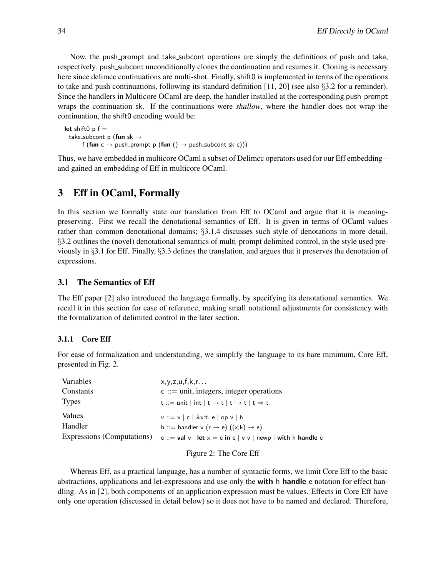Now, the push prompt and take subcont operations are simply the definitions of push and take, respectively. push subcont unconditionally clones the continuation and resumes it. Cloning is necessary here since delimcc continuations are multi-shot. Finally, shift0 is implemented in terms of the operations to take and push continuations, following its standard definition [11, 20] (see also  $\S 3.2$  for a reminder). Since the handlers in Multicore OCaml are deep, the handler installed at the corresponding push prompt wraps the continuation sk. If the continuations were *shallow*, where the handler does not wrap the continuation, the shift0 encoding would be:

```
let shift0 p f =take_subcont p (fun sk \rightarrowf (fun c \rightarrow push_prompt p (fun () \rightarrow push_subcont sk c)))
```
Thus, we have embedded in multicore OCaml a subset of Delimcc operators used for our Eff embedding – and gained an embedding of Eff in multicore OCaml.

## 3 Eff in OCaml, Formally

In this section we formally state our translation from Eff to OCaml and argue that it is meaningpreserving. First we recall the denotational semantics of Eff. It is given in terms of OCaml values rather than common denotational domains; §3.1.4 discusses such style of denotations in more detail. §3.2 outlines the (novel) denotational semantics of multi-prompt delimited control, in the style used previously in §3.1 for Eff. Finally, §3.3 defines the translation, and argues that it preserves the denotation of expressions.

## 3.1 The Semantics of Eff

The Eff paper [2] also introduced the language formally, by specifying its denotational semantics. We recall it in this section for ease of reference, making small notational adjustments for consistency with the formalization of delimited control in the later section.

### 3.1.1 Core Eff

For ease of formalization and understanding, we simplify the language to its bare minimum, Core Eff, presented in Fig. 2.

| Variables                  | x,y,z,u,f,k,r                                                                |
|----------------------------|------------------------------------------------------------------------------|
| Constants                  | $c ::=$ unit, integers, integer operations                                   |
| <b>Types</b>               | t ::= unit   int   t $\rightarrow$ t   t $\rightarrow$ t   t $\Rightarrow$ t |
| Values                     | $v ::= x   c   \lambda x$ : t. e   op v   h                                  |
| Handler                    | h ::= handler v (r $\rightarrow$ e) ((x,k) $\rightarrow$ e)                  |
| Expressions (Computations) | e ::= val v   let $x = e$ in e   v v   newp   with h handle e                |
|                            |                                                                              |

#### Figure 2: The Core Eff

Whereas Eff, as a practical language, has a number of syntactic forms, we limit Core Eff to the basic abstractions, applications and let-expressions and use only the with h handle e notation for effect handling. As in [2], both components of an application expression must be values. Effects in Core Eff have only one operation (discussed in detail below) so it does not have to be named and declared. Therefore,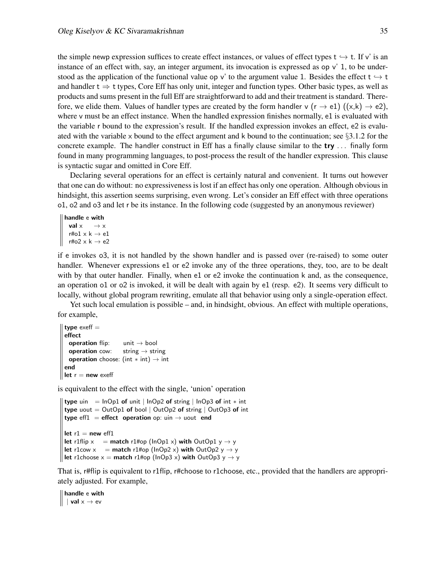the simple newp expression suffices to create effect instances, or values of effect types  $t \rightarrow t$ . If v' is an instance of an effect with, say, an integer argument, its invocation is expressed as op v' 1, to be understood as the application of the functional value op v' to the argument value 1. Besides the effect  $t \rightarrow t$ and handler  $t \Rightarrow t$  types, Core Eff has only unit, integer and function types. Other basic types, as well as products and sums present in the full Eff are straightforward to add and their treatment is standard. Therefore, we elide them. Values of handler types are created by the form handler v  $(r \to e1)$   $((x,k) \to e2)$ , where v must be an effect instance. When the handled expression finishes normally, e1 is evaluated with the variable r bound to the expression's result. If the handled expression invokes an effect, e2 is evaluated with the variable x bound to the effect argument and k bound to the continuation; see  $\S 3.1.2$  for the concrete example. The handler construct in Eff has a finally clause similar to the  $try \dots$  finally form found in many programming languages, to post-process the result of the handler expression. This clause is syntactic sugar and omitted in Core Eff.

Declaring several operations for an effect is certainly natural and convenient. It turns out however that one can do without: no expressiveness is lost if an effect has only one operation. Although obvious in hindsight, this assertion seems surprising, even wrong. Let's consider an Eff effect with three operations o1, o2 and o3 and let r be its instance. In the following code (suggested by an anonymous reviewer)

```
handle e with
    val x \rightarrow xr#o1 \times k \rightarrow e1r#o2 \times k \rightarrow e2
```
if e invokes o3, it is not handled by the shown handler and is passed over (re-raised) to some outer handler. Whenever expressions e1 or e2 invoke any of the three operations, they, too, are to be dealt with by that outer handler. Finally, when e1 or e2 invoke the continuation k and, as the consequence, an operation o1 or o2 is invoked, it will be dealt with again by e1 (resp. e2). It seems very difficult to locally, without global program rewriting, emulate all that behavior using only a single-operation effect.

Yet such local emulation is possible – and, in hindsight, obvious. An effect with multiple operations, for example,

```
type exeff =effect
   operation flip: unit \rightarrow bool
   operation cow: string \rightarrow string
   operation choose: (int * int) \rightarrow int
 end
\parallel let r = new exeff
```
is equivalent to the effect with the single, 'union' operation

```
type uin = lnOp1 of unit | lnOp2 of string | lnOp3 of int * int
type uout = OutOp1 of bool | OutOp2 of string | OutOp3 of int
type eff1 = effect operation op: uin \rightarrow uout end
let r1 = new eff1
let r1flip x = match r1#op (lnOp1 x) with OutOp1 y \rightarrow ylet r1cow x = match r1#op (lnOp2 x) with OutOp2 y \rightarrow ylet r1choose x = match r1#op (lnOp3 x) with OutOp3 y \rightarrow y
```
That is, r#flip is equivalent to r1flip, r#choose to r1choose, etc., provided that the handlers are appropriately adjusted. For example,

handle e with  $\parallel$  | val  $x \rightarrow eV$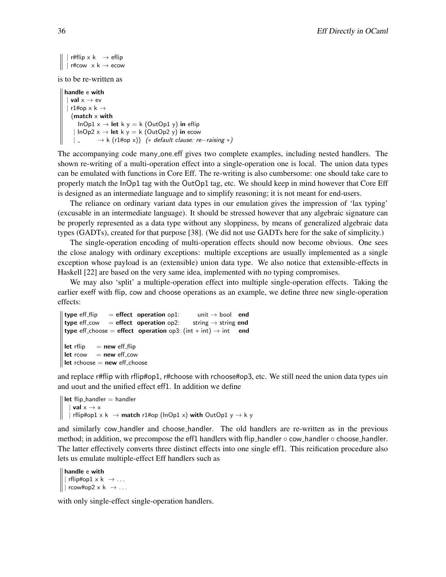```
r#flip x k \rightarrow eflip
|| | r#cow x k \rightarrow ecow
```
is to be re-written as

```
handle e with
    val \times \rightarrow evr1#op \times k \rightarrow(match \times with
       InOp1 x \rightarrow let k y = k (OutOp1 y) in eflip
     | InOp2 x \rightarrow let k y = k (OutOp2 y) in ecow
     | \Rightarrow k (r1#op x)) (* default clause: re−raising *)
```
The accompanying code many one.eff gives two complete examples, including nested handlers. The shown re-writing of a multi-operation effect into a single-operation one is local. The union data types can be emulated with functions in Core Eff. The re-writing is also cumbersome: one should take care to properly match the InOp1 tag with the OutOp1 tag, etc. We should keep in mind however that Core Eff is designed as an intermediate language and to simplify reasoning; it is not meant for end-users.

The reliance on ordinary variant data types in our emulation gives the impression of 'lax typing' (excusable in an intermediate language). It should be stressed however that any algebraic signature can be properly represented as a data type without any sloppiness, by means of generalized algebraic data types (GADTs), created for that purpose [38]. (We did not use GADTs here for the sake of simplicity.)

The single-operation encoding of multi-operation effects should now become obvious. One sees the close analogy with ordinary exceptions: multiple exceptions are usually implemented as a single exception whose payload is an (extensible) union data type. We also notice that extensible-effects in Haskell [22] are based on the very same idea, implemented with no typing compromises.

We may also 'split' a multiple-operation effect into multiple single-operation effects. Taking the earlier exeff with flip, cow and choose operations as an example, we define three new single-operation effects:

```
type eff flip = effect operation op1: unit \rightarrow bool end
 type eff cow = effect operation op2: string \rightarrow string end
 type eff_choose = effect operation op3: (int * int) \rightarrow int end
let rflip = new eff flip
let rcow = new eff_cow
|| let rchoose = new eff_choose
```
and replace r#flip with rflip#op1, r#choose with rchoose#op3, etc. We still need the union data types uin and uout and the unified effect eff1. In addition we define

```
|| let flip_handler = handler
   | val x \rightarrow x| rflip#op1 x k \rightarrow match r1#op (lnOp1 x) with OutOp1 y \rightarrow k y
```
and similarly cow handler and choose handler. The old handlers are re-written as in the previous method; in addition, we precompose the eff1 handlers with flip handler  $\circ$  cow handler  $\circ$  choose handler. The latter effectively converts three distinct effects into one single eff1. This reification procedure also lets us emulate multiple-effect Eff handlers such as

```
handle e with
 || rflip#op1 \times k \rightarrow \ldots|| \vert rcow#op2 x k \rightarrow \ldots
```
with only single-effect single-operation handlers.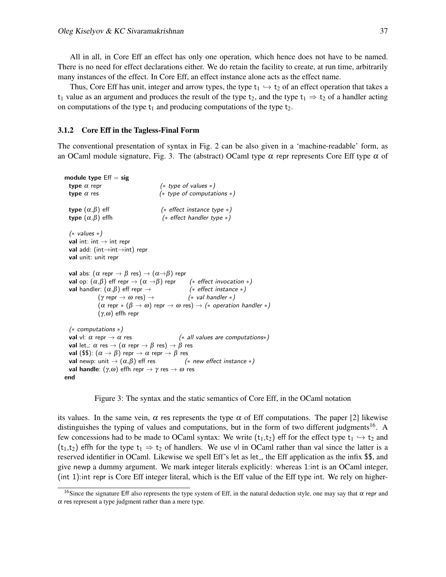All in all, in Core Eff an effect has only one operation, which hence does not have to be named. There is no need for effect declarations either. We do retain the facility to create, at run time, arbitrarily many instances of the effect. In Core Eff, an effect instance alone acts as the effect name.

Thus, Core Eff has unit, integer and arrow types, the type  $t_1 \hookrightarrow t_2$  of an effect operation that takes a t<sub>1</sub> value as an argument and produces the result of the type t<sub>2</sub>, and the type t<sub>1</sub>  $\Rightarrow$  t<sub>2</sub> of a handler acting on computations of the type  $t_1$  and producing computations of the type  $t_2$ .

#### 3.1.2 Core Eff in the Tagless-Final Form

The conventional presentation of syntax in Fig. 2 can be also given in a 'machine-readable' form, as an OCaml module signature, Fig. 3. The (abstract) OCaml type  $\alpha$  repr represents Core Eff type  $\alpha$  of

```
module type Eff = sigtype \alpha repr (* type of values *)
 type \alpha res (* type of computations *)
 type (\alpha, \beta) eff (* effect instance type *)
 type (\alpha, \beta) effh (* effect handler type *)
 (∗ values ∗)
 val int: int \rightarrow int repr
 val add: (int→int→int) repr
 val unit: unit repr
 val abs: (\alpha \text{ repr} \rightarrow \beta \text{ res}) \rightarrow (\alpha \rightarrow \beta) repr
 val op: (\alpha, \beta) eff repr \rightarrow (\alpha \rightarrow \beta) repr (* effect invocation *)
 val handler: (\alpha, \beta) eff repr \rightarrow (* effect instance *)
              (\gamma \text{ repr} \rightarrow \omega \text{ res}) \rightarrow (* val handler *)
               (\alpha repr *(\beta \to \omega) repr \to \omega res) \to (* operation handler *)
               (γ,ω) effh repr
 (∗ computations ∗)
 val vl: \alpha repr \rightarrow \alpha res (* all values are computations*)
 val let : \alpha res \rightarrow (\alpha repr \rightarrow \beta res) \rightarrow \beta res
 val ($$): (\alpha \rightarrow \beta) repr \rightarrow \alpha repr \rightarrow \beta res
 val newp: unit \rightarrow (\alpha, \beta) eff res (* new effect instance *)
 val handle: (γ, ω) effh repr \rightarrow γ res \rightarrow ω res
end
```
Figure 3: The syntax and the static semantics of Core Eff, in the OCaml notation

its values. In the same vein,  $\alpha$  res represents the type  $\alpha$  of Eff computations. The paper [2] likewise distinguishes the typing of values and computations, but in the form of two different judgments<sup>16</sup>. A few concessions had to be made to OCaml syntax: We write ( $t_1,t_2$ ) eff for the effect type  $t_1 \leftrightarrow t_2$  and  $(t_1,t_2)$  effh for the type  $t_1 \Rightarrow t_2$  of handlers. We use vl in OCaml rather than val since the latter is a reserved identifier in OCaml. Likewise we spell Eff's let as let , the Eff application as the infix \$\$, and give newp a dummy argument. We mark integer literals explicitly: whereas 1:int is an OCaml integer, (int 1):int repr is Core Eff integer literal, which is the Eff value of the Eff type int. We rely on higher-

<sup>&</sup>lt;sup>16</sup>Since the signature Eff also represents the type system of Eff, in the natural deduction style, one may say that  $\alpha$  repr and  $\alpha$  res represent a type judgment rather than a mere type.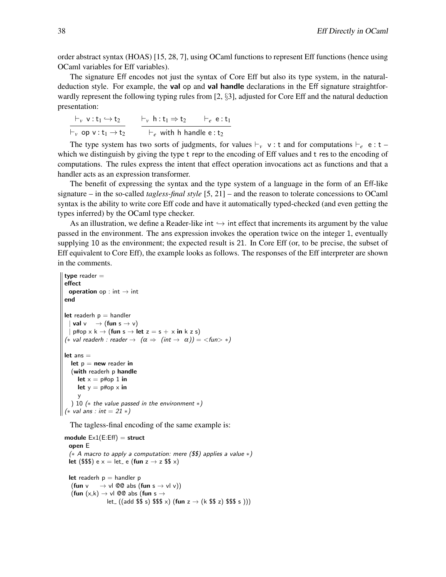order abstract syntax (HOAS) [15, 28, 7], using OCaml functions to represent Eff functions (hence using OCaml variables for Eff variables).

The signature Eff encodes not just the syntax of Core Eff but also its type system, in the naturaldeduction style. For example, the **val** op and **val handle** declarations in the Eff signature straightforwardly represent the following typing rules from [2, §3], adjusted for Core Eff and the natural deduction presentation:

| $\vdash_{v} v:t_{1} \hookrightarrow t_{2}$ | $\vdash_{v} h : t_1 \Rightarrow t_2$       | $\vdash_e$ e:t <sub>1</sub> |
|--------------------------------------------|--------------------------------------------|-----------------------------|
| $\vdash_{v}$ op v: $t_1 \rightarrow t_2$   | $\vdash_e$ with h handle e: t <sub>2</sub> |                             |

The type system has two sorts of judgments, for values  $\vdash_v v : t$  and for computations  $\vdash_e e : t$ which we distinguish by giving the type t repr to the encoding of Eff values and t res to the encoding of computations. The rules express the intent that effect operation invocations act as functions and that a handler acts as an expression transformer.

The benefit of expressing the syntax and the type system of a language in the form of an Eff-like signature – in the so-called *tagless-final style* [5, 21] – and the reason to tolerate concessions to OCaml syntax is the ability to write core Eff code and have it automatically typed-checked (and even getting the types inferred) by the OCaml type checker.

As an illustration, we define a Reader-like int  $\hookrightarrow$  int effect that increments its argument by the value passed in the environment. The ans expression invokes the operation twice on the integer 1, eventually supplying 10 as the environment; the expected result is 21. In Core Eff (or, to be precise, the subset of Eff equivalent to Core Eff), the example looks as follows. The responses of the Eff interpreter are shown in the comments.

```
type reader =effect
   operation op : int \rightarrow int
 end
 let readerh p = handler
   | val v \rightarrow (fun s \rightarrow v)| p#op x k \rightarrow (fun s \rightarrow let z = s + x in k z s)
 (* val readerh : reader \rightarrow (\alpha \Rightarrow (int \rightarrow \alpha)) = < fun > *)
 let ans =let p = new reader in
    (with readerh p handle
       let x = p \# op 1 in
       let y = p#op \times iny
    ) 10 (∗ the value passed in the environment ∗)
\| (\ast val ans : int = 21 \ast)
```
The tagless-final encoding of the same example is:

```
module Ex1(E:Eff) = struct
 open E
  (∗ A macro to apply a computation: mere ($$) applies a value ∗)
 let ($$$) e x = let_ e (fun z \rightarrow z $$ x)
 let readerh p = handler p(fun v \rightarrow v l @@ abs (fun s \rightarrow v l v))
   (fun (x,k) \rightarrow vl @@ abs (fun s \rightarrowlet ((add \$\$ s) \$\$ \$ x) (fun z \rightarrow (k \$ \$ z) \$\$ \$ s)))
```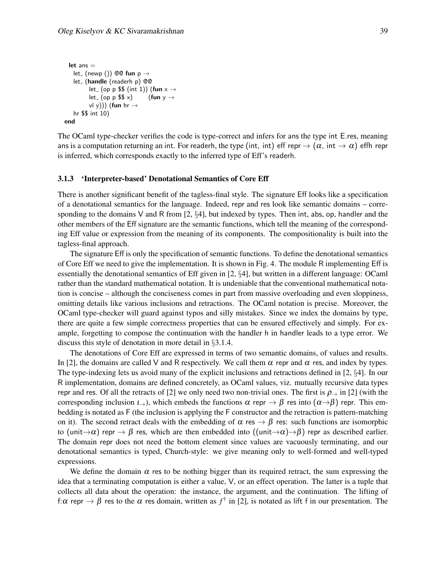```
let ans =let (newp ()) @@ fun p \rightarrowlet_ (handle (readerh p) @@
         let (op p $ (int 1)) (fun x \rightarrowlet (op p $x$) (fun y \rightarrowv(y))) (fun hr \rightarrowhr $$ int 10)
end
```
The OCaml type-checker verifies the code is type-correct and infers for ans the type int E.res, meaning ans is a computation returning an int. For readerh, the type (int, int) eff repr  $\rightarrow (\alpha)$ , int  $\rightarrow \alpha$ ) effh repr is inferred, which corresponds exactly to the inferred type of Eff's readerh.

#### 3.1.3 'Interpreter-based' Denotational Semantics of Core Eff

There is another significant benefit of the tagless-final style. The signature Eff looks like a specification of a denotational semantics for the language. Indeed, repr and res look like semantic domains – corresponding to the domains V and R from  $[2, \S4]$ , but indexed by types. Then int, abs, op, handler and the other members of the Eff signature are the semantic functions, which tell the meaning of the corresponding Eff value or expression from the meaning of its components. The compositionality is built into the tagless-final approach.

The signature Eff is only the specification of semantic functions. To define the denotational semantics of Core Eff we need to give the implementation. It is shown in Fig. 4. The module R implementing Eff is essentially the denotational semantics of Eff given in [2, §4], but written in a different language: OCaml rather than the standard mathematical notation. It is undeniable that the conventional mathematical notation is concise – although the conciseness comes in part from massive overloading and even sloppiness, omitting details like various inclusions and retractions. The OCaml notation is precise. Moreover, the OCaml type-checker will guard against typos and silly mistakes. Since we index the domains by type, there are quite a few simple correctness properties that can be ensured effectively and simply. For example, forgetting to compose the continuation with the handler h in handler leads to a type error. We discuss this style of denotation in more detail in §3.1.4.

The denotations of Core Eff are expressed in terms of two semantic domains, of values and results. In [2], the domains are called V and R respectively. We call them  $\alpha$  repr and  $\alpha$  res, and index by types. The type-indexing lets us avoid many of the explicit inclusions and retractions defined in [2, §4]. In our R implementation, domains are defined concretely, as OCaml values, viz. mutually recursive data types repr and res. Of all the retracts of [2] we only need two non-trivial ones. The first is  $\rho_{\rightarrow}$  in [2] (with the corresponding inclusion  $\iota_{\rightarrow}$ ), which embeds the functions  $\alpha$  repr  $\rightarrow \beta$  res into  $(\alpha \rightarrow \beta)$  repr. This embedding is notated as F (the inclusion is applying the F constructor and the retraction is pattern-matching on it). The second retract deals with the embedding of  $\alpha$  res  $\rightarrow \beta$  res: such functions are isomorphic to (unit $\rightarrow \alpha$ ) repr  $\rightarrow \beta$  res, which are then embedded into ((unit $\rightarrow \alpha$ ) $\rightarrow \beta$ ) repr as described earlier. The domain repr does not need the bottom element since values are vacuously terminating, and our denotational semantics is typed, Church-style: we give meaning only to well-formed and well-typed expressions.

We define the domain  $\alpha$  res to be nothing bigger than its required retract, the sum expressing the idea that a terminating computation is either a value, V, or an effect operation. The latter is a tuple that collects all data about the operation: the instance, the argument, and the continuation. The lifting of f: α repr  $\to \beta$  res to the α res domain, written as  $f^{\dagger}$  in [2], is notated as lift f in our presentation. The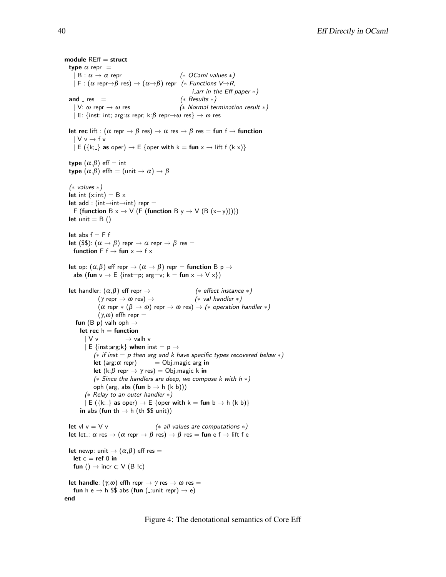module  $REff =$  struct type  $\alpha$  repr =  $| B : \alpha \to \alpha$  repr (\* OCaml values \*)  $| F : (\alpha \text{ repr} \rightarrow \beta \text{ res}) \rightarrow (\alpha \rightarrow \beta)$  repr (\* Functions V $\rightarrow R$ , i arr in the Eff paper ∗) and  $res =$  (\* Results \*) | V:  $\omega$  repr  $\rightarrow \omega$  res (\* Normal termination result \*) | E: {inst: int; arg: $\alpha$  repr; k: $\beta$  repr $\rightarrow \omega$  res}  $\rightarrow \omega$  res let rec lift :  $(\alpha \text{ repr} \rightarrow \beta \text{ res}) \rightarrow \alpha \text{ res} \rightarrow \beta \text{ res} = \text{fun } f \rightarrow \text{function}$  $\mathsf{V} \mathsf{v} \rightarrow \mathsf{f} \mathsf{v}$  $\vert E (\{k\}\vert)$  as oper)  $\rightarrow E$  {oper with  $k = \text{fun } x \rightarrow \text{lift } f (k x)$ } type  $(\alpha, \beta)$  eff = int type  $(\alpha, \beta)$  effh =  $(\text{unit} \rightarrow \alpha) \rightarrow \beta$ (∗ values ∗) let int (x:int) =  $B \times$ let add : (int $\rightarrow$ int $\rightarrow$ int) repr = F (function  $B \times \rightarrow V$  (F (function B  $y \rightarrow V$  (B  $(x+y))$ ))) let unit  $=$  B  $()$ let abs  $f = F f$ let (\$\$):  $(\alpha \rightarrow \beta)$  repr  $\rightarrow \alpha$  repr  $\rightarrow \beta$  res = function F  $f \rightarrow$  fun  $x \rightarrow f x$ let op:  $(\alpha, \beta)$  eff repr  $\rightarrow (\alpha \rightarrow \beta)$  repr = function B p  $\rightarrow$ abs (fun  $v \to E$  {inst=p; arg=v; k = fun  $x \to V x$ }) **let** handler:  $(\alpha, \beta)$  eff repr  $\rightarrow$  (\* effect instance \*)<br>  $(\gamma \text{ repr } \rightarrow \omega \text{ res}) \rightarrow$  (\* val handler \*) (γ repr  $\rightarrow \omega$  res)  $\rightarrow$  $(\alpha \text{ repr} * (\beta \rightarrow \omega) \text{ repr} \rightarrow \omega \text{ res}) \rightarrow (* \text{ operation handler} *)$ (γ,ω) effh repr  $=$ fun (B p) valh oph  $\rightarrow$ let rec  $h =$  function  $|V v|$   $\rightarrow$  valh v | E {inst;arg;k} when inst =  $p \rightarrow$ ( $*$  if inst = p then arg and k have specific types recovered below  $*$ ) let (arg: $\alpha$  repr) = Obj.magic arg in let (k: $\beta$  repr  $\rightarrow \gamma$  res) = Obj.magic k in ( $*$  Since the handlers are deep, we compose k with  $h *$ ) oph (arg, abs (fun  $b \rightarrow h$  (k b))) (∗ Relay to an outer handler ∗)  $\vert E(\lbrace k:\rbrace \text{ as oper}) \rightarrow E$  {oper with  $k = \text{fun } b \rightarrow h$  (k b)} in abs (fun th  $\rightarrow$  h (th \$\$ unit)) let vl v = V v  $(*$  all values are computations  $*$ ) let let :  $\alpha$  res  $\rightarrow$   $(\alpha$  repr  $\rightarrow$   $\beta$  res)  $\rightarrow$   $\beta$  res = fun e f  $\rightarrow$  lift f e let newp: unit  $\rightarrow (\alpha, \beta)$  eff res = let  $c = ref 0$  in fun ()  $\rightarrow$  incr c; V (B !c) let handle:  $(\gamma,\omega)$  effh repr  $\rightarrow \gamma$  res  $\rightarrow \omega$  res = fun h e  $\rightarrow$  h \$\$ abs (fun ( :unit repr)  $\rightarrow$  e) end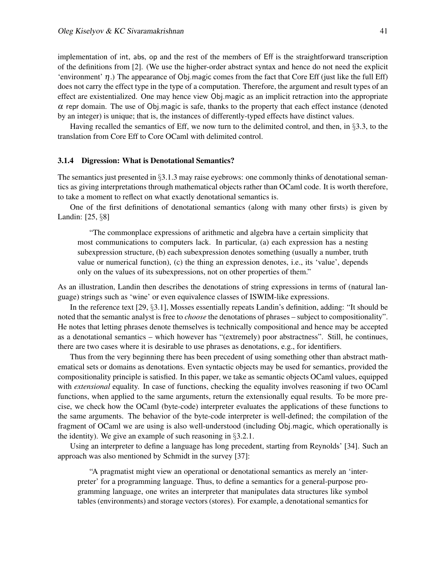implementation of int, abs, op and the rest of the members of Eff is the straightforward transcription of the definitions from [2]. (We use the higher-order abstract syntax and hence do not need the explicit 'environment'  $\eta$ .) The appearance of Obj.magic comes from the fact that Core Eff (just like the full Eff) does not carry the effect type in the type of a computation. Therefore, the argument and result types of an effect are existentialized. One may hence view Obj.magic as an implicit retraction into the appropriate  $\alpha$  repr domain. The use of Obj.magic is safe, thanks to the property that each effect instance (denoted by an integer) is unique; that is, the instances of differently-typed effects have distinct values.

Having recalled the semantics of Eff, we now turn to the delimited control, and then, in §3.3, to the translation from Core Eff to Core OCaml with delimited control.

#### 3.1.4 Digression: What is Denotational Semantics?

The semantics just presented in §3.1.3 may raise eyebrows: one commonly thinks of denotational semantics as giving interpretations through mathematical objects rather than OCaml code. It is worth therefore, to take a moment to reflect on what exactly denotational semantics is.

One of the first definitions of denotational semantics (along with many other firsts) is given by Landin: [25, §8]

"The commonplace expressions of arithmetic and algebra have a certain simplicity that most communications to computers lack. In particular, (a) each expression has a nesting subexpression structure, (b) each subexpression denotes something (usually a number, truth value or numerical function), (c) the thing an expression denotes, i.e., its 'value', depends only on the values of its subexpressions, not on other properties of them."

As an illustration, Landin then describes the denotations of string expressions in terms of (natural language) strings such as 'wine' or even equivalence classes of ISWIM-like expressions.

In the reference text [29, §3.1], Mosses essentially repeats Landin's definition, adding: "It should be noted that the semantic analyst is free to *choose* the denotations of phrases – subject to compositionality". He notes that letting phrases denote themselves is technically compositional and hence may be accepted as a denotational semantics – which however has "(extremely) poor abstractness". Still, he continues, there are two cases where it is desirable to use phrases as denotations, e.g., for identifiers.

Thus from the very beginning there has been precedent of using something other than abstract mathematical sets or domains as denotations. Even syntactic objects may be used for semantics, provided the compositionality principle is satisfied. In this paper, we take as semantic objects OCaml values, equipped with *extensional* equality. In case of functions, checking the equality involves reasoning if two OCaml functions, when applied to the same arguments, return the extensionally equal results. To be more precise, we check how the OCaml (byte-code) interpreter evaluates the applications of these functions to the same arguments. The behavior of the byte-code interpreter is well-defined; the compilation of the fragment of OCaml we are using is also well-understood (including Obj.magic, which operationally is the identity). We give an example of such reasoning in §3.2.1.

Using an interpreter to define a language has long precedent, starting from Reynolds' [34]. Such an approach was also mentioned by Schmidt in the survey [37]:

"A pragmatist might view an operational or denotational semantics as merely an 'interpreter' for a programming language. Thus, to define a semantics for a general-purpose programming language, one writes an interpreter that manipulates data structures like symbol tables (environments) and storage vectors (stores). For example, a denotational semantics for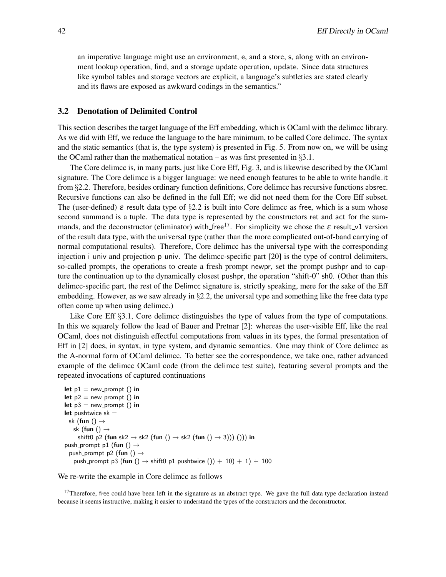an imperative language might use an environment, e, and a store, s, along with an environment lookup operation, find, and a storage update operation, update. Since data structures like symbol tables and storage vectors are explicit, a language's subtleties are stated clearly and its flaws are exposed as awkward codings in the semantics."

#### 3.2 Denotation of Delimited Control

This section describes the target language of the Eff embedding, which is OCaml with the delimcc library. As we did with Eff, we reduce the language to the bare minimum, to be called Core delimcc. The syntax and the static semantics (that is, the type system) is presented in Fig. 5. From now on, we will be using the OCaml rather than the mathematical notation – as was first presented in  $\S 3.1$ .

The Core delimcc is, in many parts, just like Core Eff, Fig. 3, and is likewise described by the OCaml signature. The Core delimcc is a bigger language: we need enough features to be able to write handle it from §2.2. Therefore, besides ordinary function definitions, Core delimcc has recursive functions absrec. Recursive functions can also be defined in the full Eff; we did not need them for the Core Eff subset. The (user-defined)  $\varepsilon$  result data type of §2.2 is built into Core delimed as free, which is a sum whose second summand is a tuple. The data type is represented by the constructors ret and act for the summands, and the deconstructor (eliminator) with free<sup>17</sup>. For simplicity we chose the  $\varepsilon$  result v1 version of the result data type, with the universal type (rather than the more complicated out-of-band carrying of normal computational results). Therefore, Core delimcc has the universal type with the corresponding injection i univ and projection p univ. The delimcc-specific part [20] is the type of control delimiters, so-called prompts, the operations to create a fresh prompt newpr, set the prompt pushpr and to capture the continuation up to the dynamically closest pushpr, the operation "shift-0" sh0. (Other than this delimcc-specific part, the rest of the Delimcc signature is, strictly speaking, mere for the sake of the Eff embedding. However, as we saw already in §2.2, the universal type and something like the free data type often come up when using delimcc.)

Like Core Eff §3.1, Core delimcc distinguishes the type of values from the type of computations. In this we squarely follow the lead of Bauer and Pretnar [2]: whereas the user-visible Eff, like the real OCaml, does not distinguish effectful computations from values in its types, the formal presentation of Eff in [2] does, in syntax, in type system, and dynamic semantics. One may think of Core delimcc as the A-normal form of OCaml delimcc. To better see the correspondence, we take one, rather advanced example of the delimcc OCaml code (from the delimcc test suite), featuring several prompts and the repeated invocations of captured continuations

```
let p1 = new-prompt () in
let p2 = new-prompt () in
let p3 = new-prompt () in
let pushtwice sk =sk (fun () \rightarrowsk (fun () \rightarrowshift0 p2 (fun sk2 \rightarrow sk2 (fun () \rightarrow sk2 (fun () \rightarrow 3))) ())) in
push prompt p1 (fun () \rightarrowpush_prompt p2 (fun () \rightarrowpush prompt p3 (fun () \rightarrow shift0 p1 pushtwice ()) + 10) + 1) + 100
```
We re-write the example in Core delimcc as follows

 $17$ Therefore, free could have been left in the signature as an abstract type. We gave the full data type declaration instead because it seems instructive, making it easier to understand the types of the constructors and the deconstructor.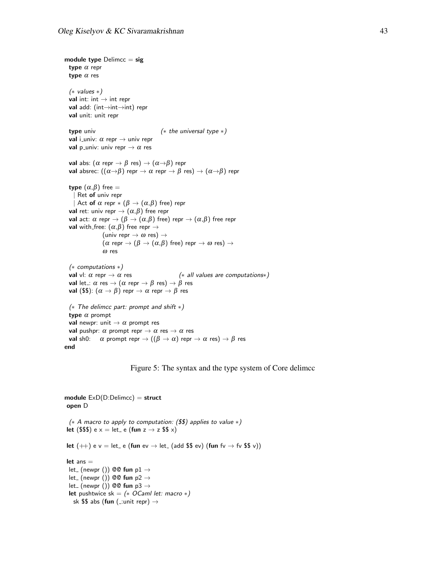module type  $D$ elimcc = sig type  $\alpha$  repr type  $\alpha$  res (∗ values ∗) val int: int  $\rightarrow$  int repr val add: (int→int→int) repr val unit: unit repr type univ  $(* the universal type * )$ val i\_univ:  $\alpha$  repr  $\rightarrow$  univ repr val p\_univ: univ repr  $\rightarrow \alpha$  res val abs:  $(\alpha \text{ repr} \rightarrow \beta \text{ res}) \rightarrow (\alpha \rightarrow \beta)$  repr val absrec:  $((\alpha \rightarrow \beta)$  repr  $\rightarrow \alpha$  repr  $\rightarrow \beta$  res)  $\rightarrow (\alpha \rightarrow \beta)$  repr type  $(α, β)$  free = | Ret of univ repr Act of  $\alpha$  repr  $*(\beta \to (\alpha, \beta)$  free) repr val ret: univ repr  $\rightarrow (\alpha, \beta)$  free repr val act:  $\alpha$  repr  $\rightarrow (\beta \rightarrow (\alpha, \beta)$  free) repr  $\rightarrow (\alpha, \beta)$  free repr **val** with free:  $(α, β)$  free repr  $\rightarrow$ (univ repr  $\rightarrow \omega$  res)  $\rightarrow$  $(\alpha$  repr  $\rightarrow (\beta \rightarrow (\alpha,\beta)$  free) repr  $\rightarrow \omega$  res)  $\rightarrow$ <sup>ω</sup> res (∗ computations ∗) val vl:  $\alpha$  repr  $\rightarrow \alpha$  res (\* all values are computations\*) val let :  $\alpha$  res  $\rightarrow (\alpha$  repr  $\rightarrow \beta$  res)  $\rightarrow \beta$  res **val** (\$\$):  $(\alpha \rightarrow \beta)$  repr  $\rightarrow \alpha$  repr  $\rightarrow \beta$  res (∗ The delimcc part: prompt and shift ∗) type  $\alpha$  prompt **val** newpr: unit  $\rightarrow \alpha$  prompt res **val** pushpr:  $\alpha$  prompt repr  $\rightarrow \alpha$  res  $\rightarrow \alpha$  res val sh0:  $\alpha$  prompt repr  $\rightarrow ((\beta \rightarrow \alpha)$  repr  $\rightarrow \alpha$  res)  $\rightarrow \beta$  res end

Figure 5: The syntax and the type system of Core delimcc

```
module ExD(D:Delimcc) = struct
open D
 (∗ A macro to apply to computation: ($$) applies to value ∗)
let ($$$) e x = let_ e (fun z \rightarrow z $$ x)
let (+) e v = let e (fun ev \rightarrow let (add $$ ev) (fun fv \rightarrow fv $$ v))
 let ans =let_ (newpr ()) @@ fun p1 \rightarrowlet_ (newpr ()) @@ fun p2 \rightarrowlet<sub>-</sub> (newpr ()) @@ fun p3 \rightarrowlet pushtwice sk = (* OCaml let: macro *)sk $$ abs (fun (\pmunit repr) \rightarrow
```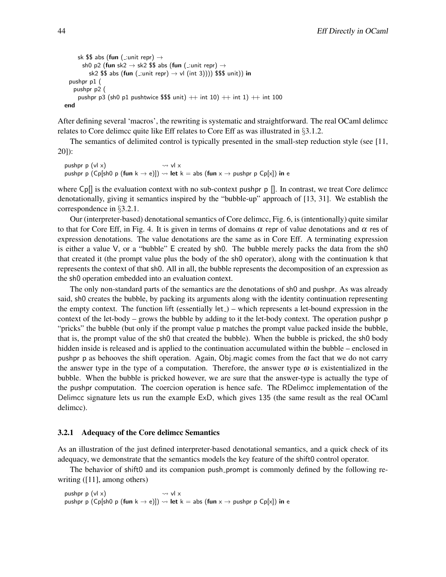```
sk $$ abs (fun (\pmunit repr) \rightarrowsh0 p2 (fun sk2 \rightarrow sk2 $$ abs (fun ( :unit repr) \rightarrowsk2 $$ abs (fun ( :unit repr) \rightarrow vl (int 3)))) $$$ unit)) in
 pushpr p1 (
   pushpr p2 (
     pushpr p3 (sh0 p1 pushtwice $$$ unit) + int 10) + int 1) + int 100
end
```
After defining several 'macros', the rewriting is systematic and straightforward. The real OCaml delimcc relates to Core delimcc quite like Eff relates to Core Eff as was illustrated in §3.1.2.

The semantics of delimited control is typically presented in the small-step reduction style (see [11, 20]):

pushpr p  $(v|x)$   $\rightsquigarrow$  vl x pushpr p (Cp[sh0 p (fun k  $\rightarrow$  e)])  $\rightsquigarrow$  let k = abs (fun x  $\rightarrow$  pushpr p Cp[x]) in e

where  $C_{\text{p}}$  is the evaluation context with no sub-context pushpr p []. In contrast, we treat Core delimed denotationally, giving it semantics inspired by the "bubble-up" approach of [13, 31]. We establish the correspondence in §3.2.1.

Our (interpreter-based) denotational semantics of Core delimcc, Fig. 6, is (intentionally) quite similar to that for Core Eff, in Fig. 4. It is given in terms of domains  $\alpha$  repr of value denotations and  $\alpha$  res of expression denotations. The value denotations are the same as in Core Eff. A terminating expression is either a value V, or a "bubble" E created by sh0. The bubble merely packs the data from the sh0 that created it (the prompt value plus the body of the sh0 operator), along with the continuation k that represents the context of that sh0. All in all, the bubble represents the decomposition of an expression as the sh0 operation embedded into an evaluation context.

The only non-standard parts of the semantics are the denotations of sh0 and pushpr. As was already said, sh0 creates the bubble, by packing its arguments along with the identity continuation representing the empty context. The function lift (essentially  $let_$ ) – which represents a let-bound expression in the context of the let-body – grows the bubble by adding to it the let-body context. The operation pushpr p "pricks" the bubble (but only if the prompt value p matches the prompt value packed inside the bubble, that is, the prompt value of the sh0 that created the bubble). When the bubble is pricked, the sh0 body hidden inside is released and is applied to the continuation accumulated within the bubble – enclosed in pushpr p as behooves the shift operation. Again, Obj.magic comes from the fact that we do not carry the answer type in the type of a computation. Therefore, the answer type  $\omega$  is existentialized in the bubble. When the bubble is pricked however, we are sure that the answer-type is actually the type of the pushpr computation. The coercion operation is hence safe. The RDelimcc implementation of the Delimcc signature lets us run the example ExD, which gives 135 (the same result as the real OCaml delimcc).

#### 3.2.1 Adequacy of the Core delimcc Semantics

As an illustration of the just defined interpreter-based denotational semantics, and a quick check of its adequacy, we demonstrate that the semantics models the key feature of the shift0 control operator.

The behavior of shift0 and its companion push prompt is commonly defined by the following rewriting ([11], among others)

pushpr p  $(v|x)$   $\rightsquigarrow$  vl x pushpr p (Cp[sh0 p (fun k  $\rightarrow$  e)])  $\rightsquigarrow$  let k = abs (fun x  $\rightarrow$  pushpr p Cp[x]) in e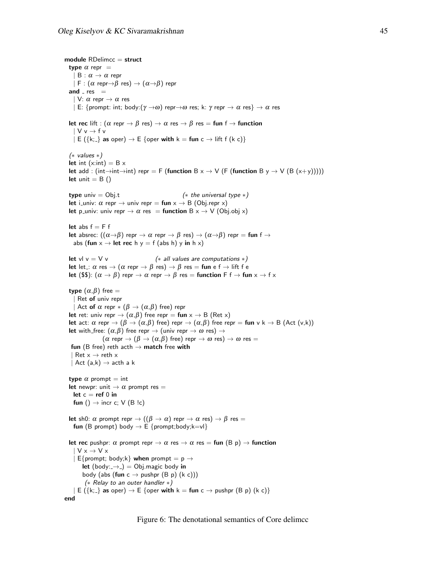```
module RDelimcc = struct
  type \alpha repr =
    | B : \alpha \rightarrow \alpha repr
    | F : (\alpha repr\rightarrow\beta res) \rightarrow (\alpha \rightarrow \beta) repr
  and z res =| V: \alpha repr \rightarrow \alpha res
    | E: {prompt: int; body:(\gamma \rightarrow \omega) repr\rightarrow \omega res; k: \gamma repr \rightarrow \alpha res} \rightarrow \alpha res
  let rec lift : (\alpha \text{ repr} \rightarrow \beta \text{ res}) \rightarrow \alpha \text{ res} \rightarrow \beta \text{ res} = \text{fun } f \rightarrow \text{function}\mathsf{V} \mathsf{v} \rightarrow \mathsf{f} \mathsf{v}| E (\{k; \cdot\} \text{ as oper}) \rightarrow E {oper with k = \text{fun } c \rightarrow \text{lift } f (k c)}
  (∗ values ∗)
  let int (x:int) = B xlet add : (int→int→int) repr = F (function B x \rightarrow V (F (function B y \rightarrow V (B (x+y)))))
  let unit = B()type univ = Obj.t (* the universal type *)let i_univ: \alpha repr \rightarrow univ repr = fun x \rightarrow B (Obj.repr x)
  let p_univ: univ repr \rightarrow \alpha res = function B x \rightarrow V (Obj.obj x)
  let abs f = F flet absrec: ((\alpha \rightarrow \beta) repr \rightarrow \alpha repr \rightarrow \beta res) \rightarrow (\alpha \rightarrow \beta) repr = fun f \rightarrowabs (fun x \rightarrow let rec h y = f (abs h) y in h x)
  let vl v = V v (*) (* all values are computations *)
  let let : \alpha res \rightarrow (\alpha repr \rightarrow \beta res) \rightarrow \beta res = fun e f \rightarrow lift f e
  let ($$): (\alpha \to \beta) repr \to \alpha repr \to \beta res = function F f \to fun x \to f xtype (α, β) free =
    | Ret of univ repr
       Act of \alpha repr *(\beta \to (\alpha, \beta) free) repr
  let ret: univ repr \rightarrow (\alpha, \beta) free repr = fun x \rightarrow B (Ret x)
  let act: \alpha repr \rightarrow (\beta \rightarrow (\alpha, \beta) free) repr \rightarrow (\alpha, \beta) free repr = fun v k \rightarrow B (Act (v,k))
  let with free: (\alpha, \beta) free repr \rightarrow (univ repr \rightarrow \omega res) \rightarrow(\alpha \text{ repr} \rightarrow (\beta \rightarrow (\alpha, \beta) \text{ free}) \text{ repr} \rightarrow \omega \text{ res}) \rightarrow \omega \text{ res} =fun (B free) reth acth \rightarrow match free with
   | Ret x \rightarrow reth x| Act (a,k) \rightarrow acth a ktype \alpha prompt = int
  let newpr: unit \rightarrow \alpha prompt res =
    let c = ref 0 in
    fun () \rightarrow incr c; V (B !c)
  let sh0: \alpha prompt repr \rightarrow ((\beta \rightarrow \alpha) repr \rightarrow \alpha res) \rightarrow \beta res =
    fun (B prompt) body \rightarrow E {prompt;body;k=vl}
  let rec pushpr: \alpha prompt repr \rightarrow \alpha res \rightarrow \alpha res = fun (B p) \rightarrow function
      V \times \rightarrow V \times| E{prompt; body;k} when prompt = p \rightarrowlet (body:\rightarrow) = Obj.magic body in
         body (abs (fun c \rightarrow pushpr (B p) (k c)))
          (∗ Relay to an outer handler ∗)
     |E(\{k;\} as oper) \rightarrow E {oper with k = fun c \rightarrow pushpr (B p) (k c)}
end
```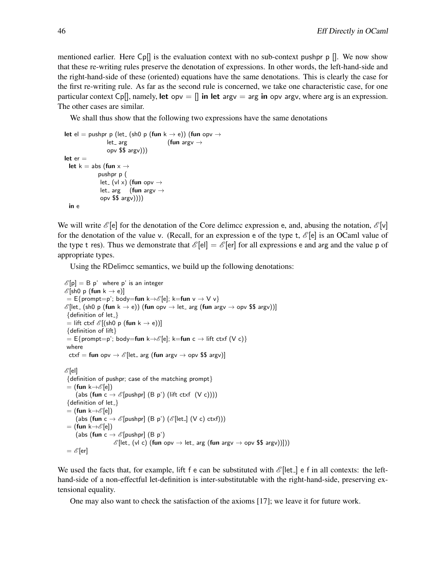mentioned earlier. Here  $C[\rho]$  is the evaluation context with no sub-context pushpr p  $[$ . We now show that these re-writing rules preserve the denotation of expressions. In other words, the left-hand-side and the right-hand-side of these (oriented) equations have the same denotations. This is clearly the case for the first re-writing rule. As far as the second rule is concerned, we take one characteristic case, for one particular context Cp[], namely, let opv =  $\parallel$  in let argv = arg in opv argv, where arg is an expression. The other cases are similar.

We shall thus show that the following two expressions have the same denotations

```
let el = pushpr p (let<sub>-</sub> (sh0 p (fun k \rightarrow e)) (fun opv \rightarrowlet_ arg  (fun argv \rightarrowopv $$ argv)))
let er =let k = abs (fun x \rightarrowpushpr p (
               let<sub>-</sub> (vl x) (fun opv \rightarrowlet_ arg (fun argy \rightarrowopv $$ argv))))
 in e
```
We will write  $\mathscr{E}[\mathbf{e}]$  for the denotation of the Core delimcc expression e, and, abusing the notation,  $\mathscr{E}[\mathbf{v}]$ for the denotation of the value v. (Recall, for an expression e of the type t,  $\mathscr{E}[e]$  is an OCaml value of the type t res). Thus we demonstrate that  $\mathscr{E}[\text{el}] = \mathscr{E}[\text{er}]$  for all expressions e and arg and the value p of appropriate types.

Using the RDelimcc semantics, we build up the following denotations:

```
\mathscr{E}[\mathsf{p}] = \mathsf{B}[\mathsf{p}] where p' is an integer
\mathscr{E}[\sh{0} \; \mathsf{p} \; (\mathsf{fun} \; \mathsf{k} \to \mathsf{e})]E=\mathsf{E}\{\mathsf{prompt}{=}\mathsf{p}';\, \mathsf{body}{=}\mathsf{fun}\,\, \mathsf{k}{\rightarrow}\mathscr{E}[\mathsf{e}];\, \mathsf{k}{=}\mathsf{fun}\,\, \mathsf{v}\rightarrow \mathsf{V}\,\, \mathsf{v}\}\mathscr{E}[let_ (sh0 p (fun k \rightarrow e)) (fun opv \rightarrow let_ arg (fun argv \rightarrow opv $$ argv))]
 {definition of let.}= lift ctxf \mathscr{E} [(sh0 p (fun k \rightarrow e))]
 {definition of lift}
 = E{prompt=p'; body=fun k→\mathscr{E}[e]; k=fun c → lift ctxf (V c)}
 where
  ctxf = fun opv \rightarrow \mathscr{E}[let_ arg (fun argv \rightarrow opv $$ argv)]
\mathscr{E}[el]
 {definition of pushpr; case of the matching prompt}
 = (fun k\rightarrow \mathscr{E}[e])
       (abs (fun c \rightarrow \mathscr{E}[pushpr] (B p') (lift ctxf (V c))))
 {definition of let }
 = (fun k\rightarrow \mathscr{E}[e])
       (abs (fun c \rightarrow \mathscr{E}[\text{pushpr}] (B p') (\mathscr{E}[\text{let}] (V c) ctxf)))
 = (fun k\rightarrow \mathscr{E}[e])
       (abs (fun c \rightarrow \mathscr{E}[pushpr] (B p')
                              \mathscr{E}[let_ (vl c) (fun opv \rightarrow let_ arg (fun argv \rightarrow opv $$ argv))]))
 = \mathscr{E} [er]
```
We used the facts that, for example, lift f e can be substituted with  $\mathscr{E}[\text{let}]$  e f in all contexts: the lefthand-side of a non-effectful let-definition is inter-substitutable with the right-hand-side, preserving extensional equality.

One may also want to check the satisfaction of the axioms [17]; we leave it for future work.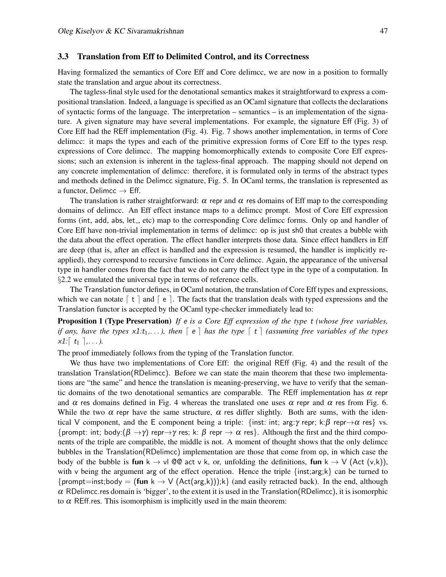#### 3.3 Translation from Eff to Delimited Control, and its Correctness

Having formalized the semantics of Core Eff and Core delimcc, we are now in a position to formally state the translation and argue about its correctness.

The tagless-final style used for the denotational semantics makes it straightforward to express a compositional translation. Indeed, a language is specified as an OCaml signature that collects the declarations of syntactic forms of the language. The interpretation – semantics – is an implementation of the signature. A given signature may have several implementations. For example, the signature Eff (Fig. 3) of Core Eff had the REff implementation (Fig. 4). Fig. 7 shows another implementation, in terms of Core delimcc: it maps the types and each of the primitive expression forms of Core Eff to the types resp. expressions of Core delimcc. The mapping homomorphically extends to composite Core Eff expressions; such an extension is inherent in the tagless-final approach. The mapping should not depend on any concrete implementation of delimcc: therefore, it is formulated only in terms of the abstract types and methods defined in the Delimcc signature, Fig. 5. In OCaml terms, the translation is represented as a functor, Delimcc  $\rightarrow$  Eff.

The translation is rather straightforward:  $\alpha$  repr and  $\alpha$  res domains of Eff map to the corresponding domains of delimcc. An Eff effect instance maps to a delimcc prompt. Most of Core Eff expression forms (int, add, abs, let<sub>-</sub>, etc) map to the corresponding Core delimcc forms. Only op and handler of Core Eff have non-trivial implementation in terms of delimcc: op is just sh0 that creates a bubble with the data about the effect operation. The effect handler interprets those data. Since effect handlers in Eff are deep (that is, after an effect is handled and the expression is resumed, the handler is implicitly reapplied), they correspond to recursive functions in Core delimcc. Again, the appearance of the universal type in handler comes from the fact that we do not carry the effect type in the type of a computation. In §2.2 we emulated the universal type in terms of reference cells.

The Translation functor defines, in OCaml notation, the translation of Core Eff types and expressions, which we can notate  $\lceil t \rceil$  and  $\lceil e \rceil$ . The facts that the translation deals with typed expressions and the Translation functor is accepted by the OCaml type-checker immediately lead to:

Proposition 1 (Type Preservation) *If* e *is a Core Eff expression of the type* t *(whose free variables, if any, have the types*  $x1:t_1,\ldots$ , then  $\lceil e \rceil$  *has the type*  $\lceil t \rceil$  *(assuming free variables of the types*  $x1: [t_1], \ldots$ .

The proof immediately follows from the typing of the Translation functor.

We thus have two implementations of Core Eff: the original REff (Fig. 4) and the result of the translation Translation(RDelimcc). Before we can state the main theorem that these two implementations are "the same" and hence the translation is meaning-preserving, we have to verify that the semantic domains of the two denotational semantics are comparable. The REff implementation has  $\alpha$  repr and  $\alpha$  res domains defined in Fig. 4 whereas the translated one uses  $\alpha$  repr and  $\alpha$  res from Fig. 6. While the two  $\alpha$  repr have the same structure,  $\alpha$  res differ slightly. Both are sums, with the identical V component, and the E component being a triple: {inst: int; arg:γ repr; k:β repr $\rightarrow \alpha$  res} vs. {prompt: int; body: $(\beta \to \gamma)$  repr $\to \gamma$  res; k:  $\beta$  repr  $\to \alpha$  res}. Although the first and the third components of the triple are compatible, the middle is not. A moment of thought shows that the only delimcc bubbles in the Translation(RDelimcc) implementation are those that come from op, in which case the body of the bubble is fun  $k \to v$ l @@ act v k, or, unfolding the definitions, fun  $k \to V$  (Act (v,k)), with v being the argument arg of the effect operation. Hence the triple  $\{inst; arg; k\}$  can be turned to {prompt=inst;body = (fun k  $\rightarrow$  V (Act(arg,k)));k} (and easily retracted back). In the end, although  $\alpha$  RDelimcc.res domain is 'bigger', to the extent it is used in the Translation(RDelimcc), it is isomorphic to  $\alpha$  REff.res. This isomorphism is implicitly used in the main theorem: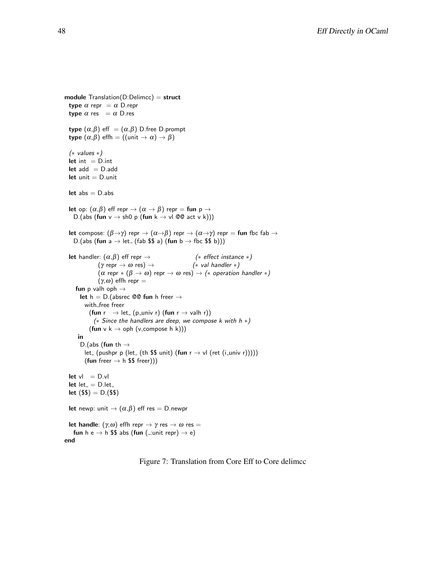```
module Translation(D:Delimcc) = structtype \alpha repr = \alpha D.repr
  type \alpha res = \alpha D.res
  type (\alpha, \beta) eff = (\alpha, \beta) D.free D.prompt
  type (\alpha, \beta) effh = ((unit \rightarrow \alpha) \rightarrow \beta)(∗ values ∗)
 let int = D.intlet add = D.addlet unit = D.unit
  let abs = D.abslet op: (\alpha, \beta) eff repr \rightarrow (\alpha \rightarrow \beta) repr = fun p \rightarrowD.(abs (fun v \rightarrow sh0 p (fun k \rightarrow vl @@ act v k)))
  let compose: (\beta \rightarrow \gamma) repr \rightarrow (\alpha \rightarrow \beta) repr \rightarrow (\alpha \rightarrow \gamma) repr = fun fbc fab \rightarrowD.(abs (fun a \rightarrow let<sub>-</sub> (fab $$ a) (fun b \rightarrow fbc $$ b)))
  let handler: (\alpha, \beta) eff repr \rightarrow (* effect instance *)
                (\gamma \text{ repr} \rightarrow \omega \text{ res}) \rightarrow (* val handler *)
                 (\alpha \text{ repr} * (\beta \rightarrow \omega) \text{ repr} \rightarrow \omega \text{ res}) \rightarrow (* \text{ operation handler} *)(γ,ω) effh repr =
     fun p valh oph \rightarrowlet h = D. (absrec @@ fun h freer \rightarrowwith_free freer
            (fun r \rightarrow let<sub>-</sub> (p_univ r) (fun r \rightarrow valh r))
              (* Since the handlers are deep, we compose k with h *)
            (fun v k \rightarrow oph (v, compose h k)))
      in
       D.(abs (fun th \rightarrowlet_ (pushpr p (let_ (th $$ unit) (fun r \rightarrow \nu l (ret (i_univ r)))))
          (fun freer \rightarrow h $$ freer)))
  let vI = D.vIlet let = D.letlet (\$$) = D.(\$$)let newp: unit \rightarrow (\alpha, \beta) eff res = D.newpr
  let handle: (\gamma,\omega) effh repr \rightarrow \gamma res \rightarrow \omega res =
    fun h e \rightarrow h $$ abs (fun (:unit repr) \rightarrow e)
end
```
Figure 7: Translation from Core Eff to Core delimcc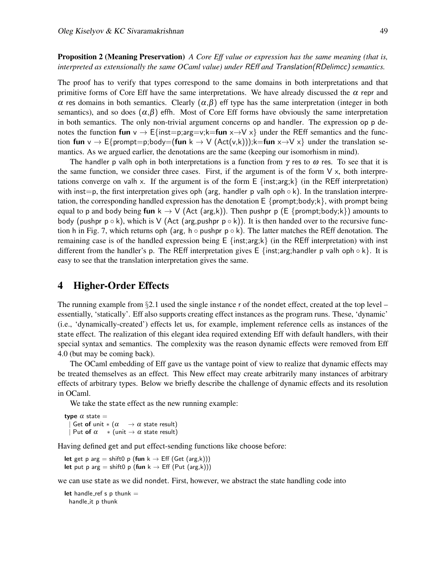Proposition 2 (Meaning Preservation) *A Core Eff value or expression has the same meaning (that is, interpreted as extensionally the same OCaml value) under* REff *and* Translation(RDelimcc) *semantics.*

The proof has to verify that types correspond to the same domains in both interpretations and that primitive forms of Core Eff have the same interpretations. We have already discussed the  $\alpha$  repr and α res domains in both semantics. Clearly  $(α, β)$  eff type has the same interpretation (integer in both semantics), and so does  $(\alpha, \beta)$  effh. Most of Core Eff forms have obviously the same interpretation in both semantics. The only non-trivial argument concerns op and handler. The expression op p denotes the function fun v  $\rightarrow$  E{inst=p;arg=v;k=fun x $\rightarrow$ V x} under the REff semantics and the function fun v  $\rightarrow$  E{prompt=p;body=(fun k  $\rightarrow$  V (Act(v,k)));k=fun x $\rightarrow$ V x} under the translation semantics. As we argued earlier, the denotations are the same (keeping our isomorhism in mind).

The handler p valh oph in both interpretations is a function from  $\gamma$  res to  $\omega$  res. To see that it is the same function, we consider three cases. First, if the argument is of the form  $V \times$ , both interpretations converge on valh x. If the argument is of the form  $E \{inst; arg; k\}$  (in the REff interpretation) with inst=p, the first interpretation gives oph (arg, handler p valh oph  $\circ$  k). In the translation interpretation, the corresponding handled expression has the denotation  $E \{prompt; body; k\}$ , with prompt being equal to p and body being fun k  $\rightarrow$  V (Act (arg,k)). Then pushpr p (E {prompt;body;k}) amounts to body (pushpr  $p \circ k$ ), which is V (Act (arg, pushpr  $p \circ k$ )). It is then handed over to the recursive function h in Fig. 7, which returns oph (arg, h  $\circ$  pushpr  $p \circ k$ ). The latter matches the REff denotation. The remaining case is of the handled expression being  $E \{inst; arg; k\}$  (in the REff interpretation) with inst different from the handler's p. The REff interpretation gives E {inst;arg;handler p valh oph  $\circ$  k}. It is easy to see that the translation interpretation gives the same.

## 4 Higher-Order Effects

The running example from  $\S2.1$  used the single instance r of the nondet effect, created at the top level – essentially, 'statically'. Eff also supports creating effect instances as the program runs. These, 'dynamic' (i.e., 'dynamically-created') effects let us, for example, implement reference cells as instances of the state effect. The realization of this elegant idea required extending Eff with default handlers, with their special syntax and semantics. The complexity was the reason dynamic effects were removed from Eff 4.0 (but may be coming back).

The OCaml embedding of Eff gave us the vantage point of view to realize that dynamic effects may be treated themselves as an effect. This New effect may create arbitrarily many instances of arbitrary effects of arbitrary types. Below we briefly describe the challenge of dynamic effects and its resolution in OCaml.

We take the state effect as the new running example:

type  $\alpha$  state = Get of unit  $*(\alpha \rightarrow \alpha \text{ state result})$ | Put of  $\alpha$  \* (unit  $\rightarrow \alpha$  state result)

Having defined get and put effect-sending functions like choose before:

let get p arg = shift0 p (fun  $k \rightarrow$  Eff (Get (arg,k))) let put p arg = shift0 p (fun  $k \rightarrow$  Eff (Put (arg,k)))

we can use state as we did nondet. First, however, we abstract the state handling code into

let handle\_ref s  $p$  thunk  $=$ handle it p thunk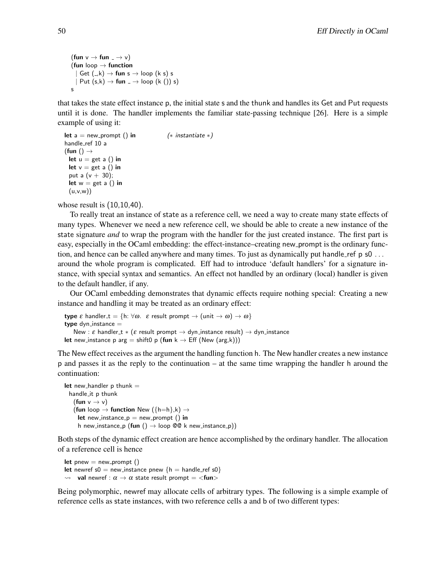```
(fun v \rightarrow fun = \rightarrow v)
(fun loop \rightarrow function
     \mathsf{Get} (<sub>-,</sub>k) \rightarrow fun s \rightarrow loop (k s) s
   | Put (s,k) \rightarrow fun \overline{\ } \rightarrow loop (k) ()) s)
s
```
that takes the state effect instance p, the initial state s and the thunk and handles its Get and Put requests until it is done. The handler implements the familiar state-passing technique [26]. Here is a simple example of using it:

```
let a = new_prompt () in (* instantiate *)handle_ref 10 a
(fun () \rightarrowlet u = get a() in
 let v = get a() in
 put a (v + 30);
 let w = get a() in
 (u,v,w))
```
whose result is (10,10,40).

To really treat an instance of state as a reference cell, we need a way to create many state effects of many types. Whenever we need a new reference cell, we should be able to create a new instance of the state signature *and* to wrap the program with the handler for the just created instance. The first part is easy, especially in the OCaml embedding: the effect-instance–creating new prompt is the ordinary function, and hence can be called anywhere and many times. To just as dynamically put handle ref p s0 ... around the whole program is complicated. Eff had to introduce 'default handlers' for a signature instance, with special syntax and semantics. An effect not handled by an ordinary (local) handler is given to the default handler, if any.

Our OCaml embedding demonstrates that dynamic effects require nothing special: Creating a new instance and handling it may be treated as an ordinary effect:

```
type \varepsilon handler t = \{h: \forall \omega. \varepsilon result prompt \rightarrow (unit \rightarrow \omega) \rightarrow \omega\}type dyn_instance =New : \varepsilon handler_t * (\varepsilon result prompt \to dyn_instance result) \to dyn_instance
let new instance p arg = shift0 p (fun k \rightarrow Eff (New (arg,k)))
```
The New effect receives as the argument the handling function h. The New handler creates a new instance p and passes it as the reply to the continuation – at the same time wrapping the handler h around the continuation:

```
let new_handler p thunk =handle it p thunk
   (fun v \rightarrow v)
   (fun loop \rightarrow function New ({h=h},k) \rightarrowlet new instance p = new prompt () in
     h new_instance_p (fun () \rightarrow loop @@ k new_instance_p))
```
Both steps of the dynamic effect creation are hence accomplished by the ordinary handler. The allocation of a reference cell is hence

```
let pnew = new prompt ()
let newref s0 = new_instance pnew {h = handle_ref s0}
\rightsquigarrow val newref : \alpha \rightarrow \alpha state result prompt = <fun>
```
Being polymorphic, newref may allocate cells of arbitrary types. The following is a simple example of reference cells as state instances, with two reference cells a and b of two different types: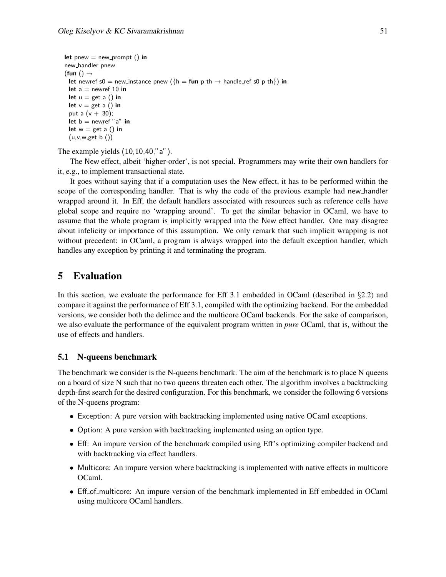```
let pnew = new prompt () in
new handler pnew
(fun () \rightarrowlet newref s0 = new_instance pnew (\{h = \text{fun } p \th \rightarrow \text{handle-ref} \th \text{so } p \th \}) in
 let a = newref 10 in
 let u = get a() in
 let v = get a() in
 put a (v + 30);
 let b = newref "a" in
 let w = get a() in
 (u,v,w, get b()
```
### The example yields (10,10,40,"a").

The New effect, albeit 'higher-order', is not special. Programmers may write their own handlers for it, e.g., to implement transactional state.

It goes without saying that if a computation uses the New effect, it has to be performed within the scope of the corresponding handler. That is why the code of the previous example had new handler wrapped around it. In Eff, the default handlers associated with resources such as reference cells have global scope and require no 'wrapping around'. To get the similar behavior in OCaml, we have to assume that the whole program is implicitly wrapped into the New effect handler. One may disagree about infelicity or importance of this assumption. We only remark that such implicit wrapping is not without precedent: in OCaml, a program is always wrapped into the default exception handler, which handles any exception by printing it and terminating the program.

## 5 Evaluation

In this section, we evaluate the performance for Eff 3.1 embedded in OCaml (described in  $\S$ 2.2) and compare it against the performance of Eff 3.1, compiled with the optimizing backend. For the embedded versions, we consider both the delimcc and the multicore OCaml backends. For the sake of comparison, we also evaluate the performance of the equivalent program written in *pure* OCaml, that is, without the use of effects and handlers.

#### 5.1 N-queens benchmark

The benchmark we consider is the N-queens benchmark. The aim of the benchmark is to place N queens on a board of size N such that no two queens threaten each other. The algorithm involves a backtracking depth-first search for the desired configuration. For this benchmark, we consider the following 6 versions of the N-queens program:

- Exception: A pure version with backtracking implemented using native OCaml exceptions.
- Option: A pure version with backtracking implemented using an option type.
- Eff: An impure version of the benchmark compiled using Eff's optimizing compiler backend and with backtracking via effect handlers.
- Multicore: An impure version where backtracking is implemented with native effects in multicore OCaml.
- Eff<sub>-of-multicore: An impure version of the benchmark implemented in Eff embedded in OCaml</sub> using multicore OCaml handlers.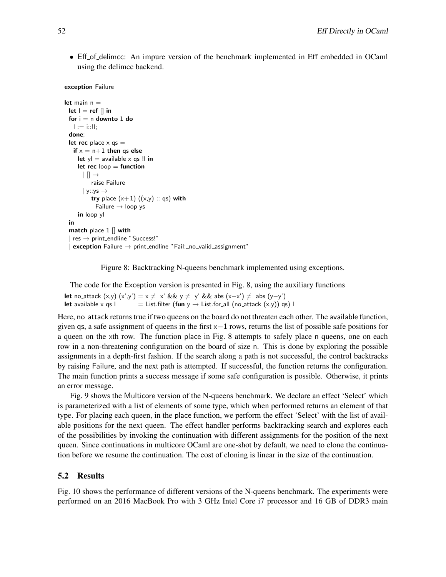• Eff\_of\_delimcc: An impure version of the benchmark implemented in Eff embedded in OCaml using the delimcc backend.

```
exception Failure
```

```
let main n =let \, l = ref \, || \, infor i = n downto 1 do
   l := i:!!:
 done;
 let rec place \times qs =if x = n+1 then qs else
     let y = available x qs !! in
     let rec loop = function\vert \vert \vert \rightarrowraise Failure
       | y::ys \rightarrowtry place (x+1) ((x,y) :: qs) with
           | Failure \rightarrow loop ys
     in loop yl
 in
 match place 1 \parallel with
  | res \rightarrow print_endline "Success!"
  | exception Failure \rightarrow print_endline "Fail: no valid assignment"
```
Figure 8: Backtracking N-queens benchmark implemented using exceptions.

The code for the Exception version is presented in Fig. 8, using the auxiliary functions

let no\_attack  $(x,y)$   $(x',y') = x \neq x'$  &&  $y \neq y'$  && abs  $(x-x') \neq abs(y-y')$ let available x qs l  $=$  List.filter (fun y  $\rightarrow$  List.for all (no attack  $(x,y)$ ) qs) l

Here, no attack returns true if two queens on the board do not threaten each other. The available function, given qs, a safe assignment of queens in the first x−1 rows, returns the list of possible safe positions for a queen on the xth row. The function place in Fig. 8 attempts to safely place n queens, one on each row in a non-threatening configuration on the board of size n. This is done by exploring the possible assignments in a depth-first fashion. If the search along a path is not successful, the control backtracks by raising Failure, and the next path is attempted. If successful, the function returns the configuration. The main function prints a success message if some safe configuration is possible. Otherwise, it prints an error message.

Fig. 9 shows the Multicore version of the N-queens benchmark. We declare an effect 'Select' which is parameterized with a list of elements of some type, which when performed returns an element of that type. For placing each queen, in the place function, we perform the effect 'Select' with the list of available positions for the next queen. The effect handler performs backtracking search and explores each of the possibilities by invoking the continuation with different assignments for the position of the next queen. Since continuations in multicore OCaml are one-shot by default, we need to clone the continuation before we resume the continuation. The cost of cloning is linear in the size of the continuation.

### 5.2 Results

Fig. 10 shows the performance of different versions of the N-queens benchmark. The experiments were performed on an 2016 MacBook Pro with 3 GHz Intel Core i7 processor and 16 GB of DDR3 main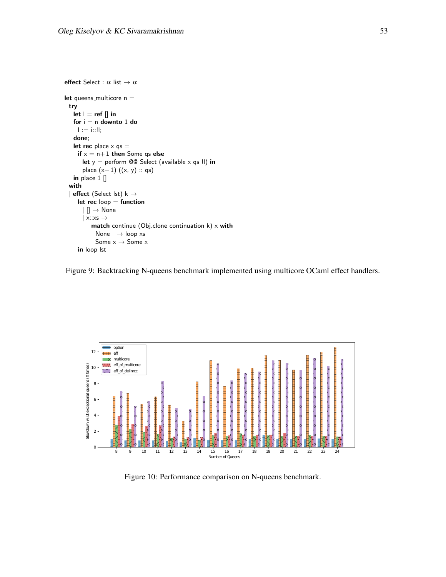```
effect Select : \alpha list \rightarrow \alphalet queens_multicore n =try
   let \, I = ref \, [] \, infor i = n downto 1 do
     l := i::ll;done;
   let rec place \times qs =
     if x = n+1 then Some qs else
       let y = perform @@ Select (available x qs !l) in
       place (x+1) ((x, y) :: qs)
   in place 1 []
  with
  | effect (Select lst) k \rightarrowlet rec loop = function\vert \vert \vert \rightarrow None
       \vert x::xs \rightarrowmatch continue (Obj.clone_continuation k) x with
            | None \rightarrow loop xs
            | Some x \rightarrow Some xin loop lst
```




Figure 10: Performance comparison on N-queens benchmark.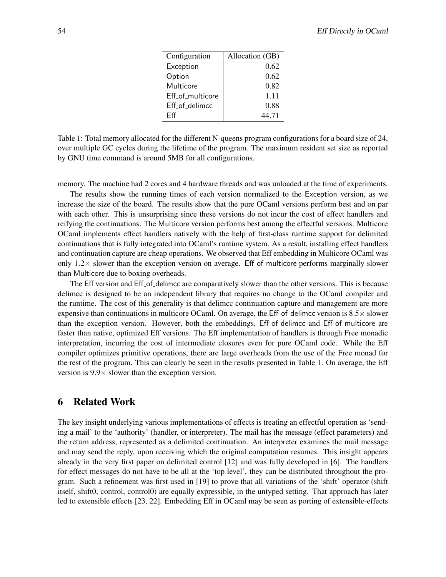| Configuration    | Allocation (GB) |  |
|------------------|-----------------|--|
| Exception        | 0.62            |  |
| Option           | 0.62            |  |
| Multicore        | 0.82            |  |
| Eff_of_multicore | 1.11            |  |
| Eff_of_delimcc   | 0.88            |  |
| Fff              | 44.71           |  |

Table 1: Total memory allocated for the different N-queens program configurations for a board size of 24, over multiple GC cycles during the lifetime of the program. The maximum resident set size as reported by GNU time command is around 5MB for all configurations.

memory. The machine had 2 cores and 4 hardware threads and was unloaded at the time of experiments.

The results show the running times of each version normalized to the Exception version, as we increase the size of the board. The results show that the pure OCaml versions perform best and on par with each other. This is unsurprising since these versions do not incur the cost of effect handlers and reifying the continuations. The Multicore version performs best among the effectful versions. Multicore OCaml implements effect handlers natively with the help of first-class runtime support for delimited continuations that is fully integrated into OCaml's runtime system. As a result, installing effect handlers and continuation capture are cheap operations. We observed that Eff embedding in Multicore OCaml was only  $1.2 \times$  slower than the exception version on average. Eff-of-multicore performs marginally slower than Multicore due to boxing overheads.

The Eff version and Eff of delimcc are comparatively slower than the other versions. This is because delimcc is designed to be an independent library that requires no change to the OCaml compiler and the runtime. The cost of this generality is that delimcc continuation capture and management are more expensive than continuations in multicore OCaml. On average, the Eff-of-delimcc version is  $8.5\times$  slower than the exception version. However, both the embeddings, Eff-of-delimcc and Eff-of-multicore are faster than native, optimized Eff versions. The Eff implementation of handlers is through Free monadic interpretation, incurring the cost of intermediate closures even for pure OCaml code. While the Eff compiler optimizes primitive operations, there are large overheads from the use of the Free monad for the rest of the program. This can clearly be seen in the results presented in Table 1. On average, the Eff version is  $9.9 \times$  slower than the exception version.

## 6 Related Work

The key insight underlying various implementations of effects is treating an effectful operation as 'sending a mail' to the 'authority' (handler, or interpreter). The mail has the message (effect parameters) and the return address, represented as a delimited continuation. An interpreter examines the mail message and may send the reply, upon receiving which the original computation resumes. This insight appears already in the very first paper on delimited control [12] and was fully developed in [6]. The handlers for effect messages do not have to be all at the 'top level', they can be distributed throughout the program. Such a refinement was first used in [19] to prove that all variations of the 'shift' operator (shift itself, shift0, control, control0) are equally expressible, in the untyped setting. That approach has later led to extensible effects [23, 22]. Embedding Eff in OCaml may be seen as porting of extensible-effects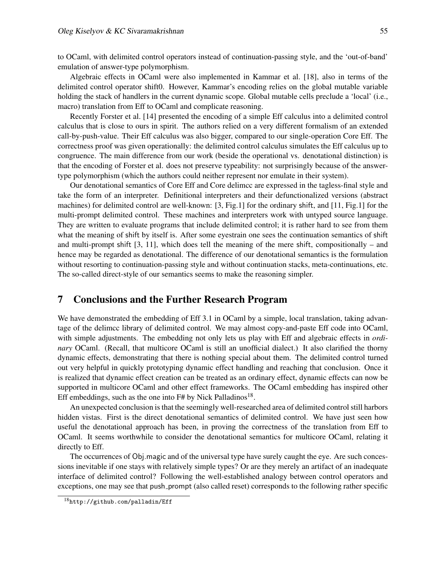to OCaml, with delimited control operators instead of continuation-passing style, and the 'out-of-band' emulation of answer-type polymorphism.

Algebraic effects in OCaml were also implemented in Kammar et al. [18], also in terms of the delimited control operator shift0. However, Kammar's encoding relies on the global mutable variable holding the stack of handlers in the current dynamic scope. Global mutable cells preclude a 'local' (i.e., macro) translation from Eff to OCaml and complicate reasoning.

Recently Forster et al. [14] presented the encoding of a simple Eff calculus into a delimited control calculus that is close to ours in spirit. The authors relied on a very different formalism of an extended call-by-push-value. Their Eff calculus was also bigger, compared to our single-operation Core Eff. The correctness proof was given operationally: the delimited control calculus simulates the Eff calculus up to congruence. The main difference from our work (beside the operational vs. denotational distinction) is that the encoding of Forster et al. does not preserve typeability: not surprisingly because of the answertype polymorphism (which the authors could neither represent nor emulate in their system).

Our denotational semantics of Core Eff and Core delimcc are expressed in the tagless-final style and take the form of an interpreter. Definitional interpreters and their defunctionalized versions (abstract machines) for delimited control are well-known: [3, Fig.1] for the ordinary shift, and [11, Fig.1] for the multi-prompt delimited control. These machines and interpreters work with untyped source language. They are written to evaluate programs that include delimited control; it is rather hard to see from them what the meaning of shift by itself is. After some eyestrain one sees the continuation semantics of shift and multi-prompt shift [3, 11], which does tell the meaning of the mere shift, compositionally – and hence may be regarded as denotational. The difference of our denotational semantics is the formulation without resorting to continuation-passing style and without continuation stacks, meta-continuations, etc. The so-called direct-style of our semantics seems to make the reasoning simpler.

## 7 Conclusions and the Further Research Program

We have demonstrated the embedding of Eff 3.1 in OCaml by a simple, local translation, taking advantage of the delimcc library of delimited control. We may almost copy-and-paste Eff code into OCaml, with simple adjustments. The embedding not only lets us play with Eff and algebraic effects in *ordinary* OCaml. (Recall, that multicore OCaml is still an unofficial dialect.) It also clarified the thorny dynamic effects, demonstrating that there is nothing special about them. The delimited control turned out very helpful in quickly prototyping dynamic effect handling and reaching that conclusion. Once it is realized that dynamic effect creation can be treated as an ordinary effect, dynamic effects can now be supported in multicore OCaml and other effect frameworks. The OCaml embedding has inspired other Eff embeddings, such as the one into  $F#$  by Nick Palladinos<sup>18</sup>.

An unexpected conclusion is that the seemingly well-researched area of delimited control still harbors hidden vistas. First is the direct denotational semantics of delimited control. We have just seen how useful the denotational approach has been, in proving the correctness of the translation from Eff to OCaml. It seems worthwhile to consider the denotational semantics for multicore OCaml, relating it directly to Eff.

The occurrences of Obj.magic and of the universal type have surely caught the eye. Are such concessions inevitable if one stays with relatively simple types? Or are they merely an artifact of an inadequate interface of delimited control? Following the well-established analogy between control operators and exceptions, one may see that push prompt (also called reset) corresponds to the following rather specific

<sup>18</sup>http://github.com/palladin/Eff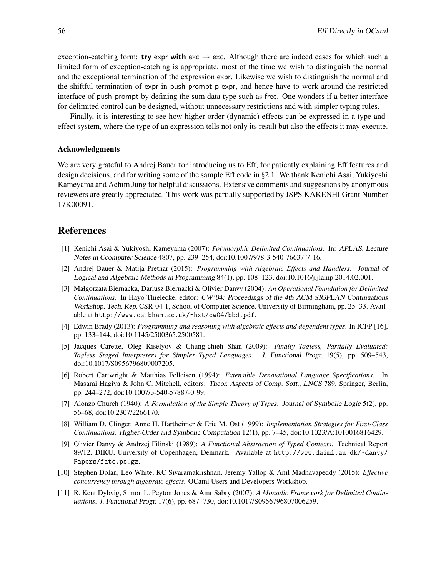exception-catching form: try expr with exc  $\rightarrow$  exc. Although there are indeed cases for which such a limited form of exception-catching is appropriate, most of the time we wish to distinguish the normal and the exceptional termination of the expression expr. Likewise we wish to distinguish the normal and the shiftful termination of expr in push prompt p expr, and hence have to work around the restricted interface of push prompt by defining the sum data type such as free. One wonders if a better interface for delimited control can be designed, without unnecessary restrictions and with simpler typing rules.

Finally, it is interesting to see how higher-order (dynamic) effects can be expressed in a type-andeffect system, where the type of an expression tells not only its result but also the effects it may execute.

#### Acknowledgments

We are very grateful to Andrej Bauer for introducing us to Eff, for patiently explaining Eff features and design decisions, and for writing some of the sample Eff code in §2.1. We thank Kenichi Asai, Yukiyoshi Kameyama and Achim Jung for helpful discussions. Extensive comments and suggestions by anonymous reviewers are greatly appreciated. This work was partially supported by JSPS KAKENHI Grant Number 17K00091.

## References

- [1] Kenichi Asai & Yukiyoshi Kameyama (2007): *Polymorphic Delimited Continuations*. In: *APLAS*, *Lecture Notes in Ccomputer Science* 4807, pp. 239–254, doi:10.1007/978-3-540-76637-7 16.
- [2] Andrej Bauer & Matija Pretnar (2015): *Programming with Algebraic Effects and Handlers*. *Journal of Logical and Algebraic Methods in Programming* 84(1), pp. 108–123, doi:10.1016/j.jlamp.2014.02.001.
- [3] Małgorzata Biernacka, Dariusz Biernacki & Olivier Danvy (2004): *An Operational Foundation for Delimited Continuations*. In Hayo Thielecke, editor: *CW'04: Proceedings of the 4th ACM SIGPLAN Continuations Workshop*, *Tech. Rep.* CSR-04-1, School of Computer Science, University of Birmingham, pp. 25–33. Available at http://www.cs.bham.ac.uk/~hxt/cw04/bbd.pdf.
- [4] Edwin Brady (2013): *Programming and reasoning with algebraic effects and dependent types*. In ICFP [16], pp. 133–144, doi:10.1145/2500365.2500581.
- [5] Jacques Carette, Oleg Kiselyov & Chung-chieh Shan (2009): *Finally Tagless, Partially Evaluated: Tagless Staged Interpreters for Simpler Typed Languages*. *J. Functional Progr.* 19(5), pp. 509–543, doi:10.1017/S0956796809007205.
- [6] Robert Cartwright & Matthias Felleisen (1994): *Extensible Denotational Language Specifications*. In Masami Hagiya & John C. Mitchell, editors: *Theor. Aspects of Comp. Soft.*, *LNCS* 789, Springer, Berlin, pp. 244–272, doi:10.1007/3-540-57887-0 99.
- [7] Alonzo Church (1940): *A Formulation of the Simple Theory of Types*. *Journal of Symbolic Logic* 5(2), pp. 56–68, doi:10.2307/2266170.
- [8] William D. Clinger, Anne H. Hartheimer & Eric M. Ost (1999): *Implementation Strategies for First-Class Continuations*. *Higher-Order and Symbolic Computation* 12(1), pp. 7–45, doi:10.1023/A:1010016816429.
- [9] Olivier Danvy & Andrzej Filinski (1989): *A Functional Abstraction of Typed Contexts*. Technical Report 89/12, DIKU, University of Copenhagen, Denmark. Available at http://www.daimi.au.dk/~danvy/ Papers/fatc.ps.gz.
- [10] Stephen Dolan, Leo White, KC Sivaramakrishnan, Jeremy Yallop & Anil Madhavapeddy (2015): *Effective concurrency through algebraic effects*. OCaml Users and Developers Workshop.
- [11] R. Kent Dybvig, Simon L. Peyton Jones & Amr Sabry (2007): *A Monadic Framework for Delimited Continuations*. *J. Functional Progr.* 17(6), pp. 687–730, doi:10.1017/S0956796807006259.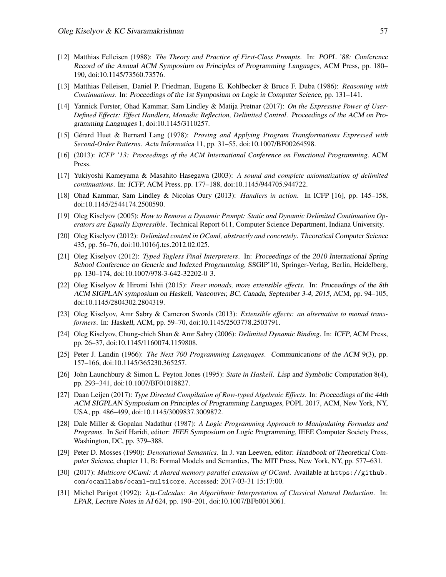- [12] Matthias Felleisen (1988): *The Theory and Practice of First-Class Prompts*. In: *POPL '88: Conference Record of the Annual ACM Symposium on Principles of Programming Languages*, ACM Press, pp. 180– 190, doi:10.1145/73560.73576.
- [13] Matthias Felleisen, Daniel P. Friedman, Eugene E. Kohlbecker & Bruce F. Duba (1986): *Reasoning with Continuations*. In: *Proceedings of the 1st Symposium on Logic in Computer Science*, pp. 131–141.
- [14] Yannick Forster, Ohad Kammar, Sam Lindley & Matija Pretnar (2017): *On the Expressive Power of User-Defined Effects: Effect Handlers, Monadic Reflection, Delimited Control*. *Proceedings of the ACM on Programming Languages* 1, doi:10.1145/3110257.
- [15] Gérard Huet & Bernard Lang (1978): Proving and Applying Program Transformations Expressed with *Second-Order Patterns*. *Acta Informatica* 11, pp. 31–55, doi:10.1007/BF00264598.
- [16] (2013): *ICFP '13: Proceedings of the ACM International Conference on Functional Programming*. ACM Press.
- [17] Yukiyoshi Kameyama & Masahito Hasegawa (2003): *A sound and complete axiomatization of delimited continuations*. In: *ICFP*, ACM Press, pp. 177–188, doi:10.1145/944705.944722.
- [18] Ohad Kammar, Sam Lindley & Nicolas Oury (2013): *Handlers in action*. In ICFP [16], pp. 145–158, doi:10.1145/2544174.2500590.
- [19] Oleg Kiselyov (2005): *How to Remove a Dynamic Prompt: Static and Dynamic Delimited Continuation Operators are Equally Expressible*. Technical Report 611, Computer Science Department, Indiana University.
- [20] Oleg Kiselyov (2012): *Delimited control in OCaml, abstractly and concretely*. *Theoretical Computer Science* 435, pp. 56–76, doi:10.1016/j.tcs.2012.02.025.
- [21] Oleg Kiselyov (2012): *Typed Tagless Final Interpreters*. In: *Proceedings of the 2010 International Spring School Conference on Generic and Indexed Programming*, SSGIP'10, Springer-Verlag, Berlin, Heidelberg, pp. 130–174, doi:10.1007/978-3-642-32202-0 3.
- [22] Oleg Kiselyov & Hiromi Ishii (2015): *Freer monads, more extensible effects*. In: *Proceedings of the 8th ACM SIGPLAN symposium on Haskell, Vancouver, BC, Canada, September 3-4, 2015*, ACM, pp. 94–105, doi:10.1145/2804302.2804319.
- [23] Oleg Kiselyov, Amr Sabry & Cameron Swords (2013): *Extensible effects: an alternative to monad transformers*. In: *Haskell*, ACM, pp. 59–70, doi:10.1145/2503778.2503791.
- [24] Oleg Kiselyov, Chung-chieh Shan & Amr Sabry (2006): *Delimited Dynamic Binding*. In: *ICFP*, ACM Press, pp. 26–37, doi:10.1145/1160074.1159808.
- [25] Peter J. Landin (1966): *The Next 700 Programming Languages*. *Communications of the ACM* 9(3), pp. 157–166, doi:10.1145/365230.365257.
- [26] John Launchbury & Simon L. Peyton Jones (1995): *State in Haskell*. *Lisp and Symbolic Computation* 8(4), pp. 293–341, doi:10.1007/BF01018827.
- [27] Daan Leijen (2017): *Type Directed Compilation of Row-typed Algebraic Effects*. In: *Proceedings of the 44th ACM SIGPLAN Symposium on Principles of Programming Languages*, POPL 2017, ACM, New York, NY, USA, pp. 486–499, doi:10.1145/3009837.3009872.
- [28] Dale Miller & Gopalan Nadathur (1987): *A Logic Programming Approach to Manipulating Formulas and Programs*. In Seif Haridi, editor: *IEEE Symposium on Logic Programming*, IEEE Computer Society Press, Washington, DC, pp. 379–388.
- [29] Peter D. Mosses (1990): *Denotational Semantics*. In J. van Leewen, editor: *Handbook of Theoretical Computer Science*, chapter 11, B: Formal Models and Semantics, The MIT Press, New York, NY, pp. 577–631.
- [30] (2017): *Multicore OCaml: A shared memory parallel extension of OCaml*. Available at https://github. com/ocamllabs/ocaml-multicore. Accessed: 2017-03-31 15:17:00.
- [31] Michel Parigot (1992): λ µ*-Calculus: An Algorithmic Interpretation of Classical Natural Deduction*. In: *LPAR*, *Lecture Notes in AI* 624, pp. 190–201, doi:10.1007/BFb0013061.